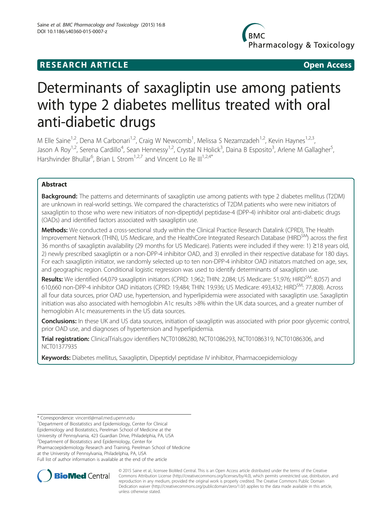

Pharmacology & Toxicology

# Determinants of saxagliptin use among patients with type 2 diabetes mellitus treated with oral anti-diabetic drugs

M Elle Saine<sup>1,2</sup>, Dena M Carbonari<sup>1,2</sup>, Craig W Newcomb<sup>1</sup>, Melissa S Nezamzadeh<sup>1,2</sup>, Kevin Haynes<sup>1,2,3</sup>, Jason A Roy<sup>1,2</sup>, Serena Cardillo<sup>4</sup>, Sean Hennessy<sup>1,2</sup>, Crystal N Holick<sup>3</sup>, Daina B Esposito<sup>3</sup>, Arlene M Gallagher<sup>5</sup> , Harshvinder Bhullar<sup>6</sup>, Brian L Strom<sup>1,2,7</sup> and Vincent Lo Re III<sup>1,2,4\*</sup>

# Abstract

Background: The patterns and determinants of saxagliptin use among patients with type 2 diabetes mellitus (T2DM) are unknown in real-world settings. We compared the characteristics of T2DM patients who were new initiators of saxagliptin to those who were new initiators of non-dipeptidyl peptidase-4 (DPP-4) inhibitor oral anti-diabetic drugs (OADs) and identified factors associated with saxagliptin use.

Methods: We conducted a cross-sectional study within the Clinical Practice Research Datalink (CPRD), The Health Improvement Network (THIN), US Medicare, and the HealthCore Integrated Research Database (HIRD<sup>SM</sup>) across the first 36 months of saxagliptin availability (29 months for US Medicare). Patients were included if they were: 1) ≥18 years old, 2) newly prescribed saxagliptin or a non-DPP-4 inhibitor OAD, and 3) enrolled in their respective database for 180 days. For each saxagliptin initiator, we randomly selected up to ten non-DPP-4 inhibitor OAD initiators matched on age, sex, and geographic region. Conditional logistic regression was used to identify determinants of saxagliptin use.

Results: We identified 64,079 saxagliptin initiators (CPRD: 1,962; THIN: 2,084; US Medicare: 51,976; HIRD<sup>SM</sup>: 8.057) and 610,660 non-DPP-4 inhibitor OAD initiators (CPRD: 19,484; THIN: 19,936; US Medicare: 493,432; HIRD<sup>SM</sup>: 77,808). Across all four data sources, prior OAD use, hypertension, and hyperlipidemia were associated with saxagliptin use. Saxagliptin initiation was also associated with hemoglobin A1c results >8% within the UK data sources, and a greater number of hemoglobin A1c measurements in the US data sources.

Conclusions: In these UK and US data sources, initiation of saxagliptin was associated with prior poor glycemic control, prior OAD use, and diagnoses of hypertension and hyperlipidemia.

Trial registration: ClinicalTrials.gov identifiers [NCT01086280,](https://clinicaltrials.gov/show/NCT01086280) [NCT01086293,](https://clinicaltrials.gov/show/NCT01086293) [NCT01086319](https://clinicaltrials.gov/show/NCT01086319), [NCT01086306](https://clinicaltrials.gov/show/NCT01086306), and [NCT01377935](https://clinicaltrials.gov/show/NCT01377935)

Keywords: Diabetes mellitus, Saxagliptin, Dipeptidyl peptidase IV inhibitor, Pharmacoepidemiology

Epidemiology and Biostatistics, Perelman School of Medicine at the

University of Pennsylvania, 423 Guardian Drive, Philadelphia, PA, USA

<sup>2</sup>Department of Biostatistics and Epidemiology, Center for

Pharmacoepidemiology Research and Training, Perelman School of Medicine at the University of Pennsylvania, Philadelphia, PA, USA

Full list of author information is available at the end of the article



© 2015 Saine et al.; licensee BioMed Central. This is an Open Access article distributed under the terms of the Creative Commons Attribution License [\(http://creativecommons.org/licenses/by/4.0\)](http://creativecommons.org/licenses/by/4.0), which permits unrestricted use, distribution, and reproduction in any medium, provided the original work is properly credited. The Creative Commons Public Domain Dedication waiver [\(http://creativecommons.org/publicdomain/zero/1.0/](http://creativecommons.org/publicdomain/zero/1.0/)) applies to the data made available in this article, unless otherwise stated.

<sup>\*</sup> Correspondence: [vincentl@mail.med.upenn.edu](mailto:vincentl@mail.med.upenn.edu) <sup>1</sup> Department of Biostatistics and Epidemiology, Center for Clinical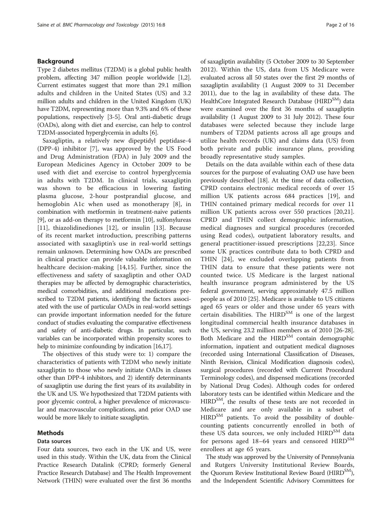## Background

Type 2 diabetes mellitus (T2DM) is a global public health problem, affecting 347 million people worldwide [[1](#page-14-0),[2](#page-14-0)]. Current estimates suggest that more than 29.1 million adults and children in the United States (US) and 3.2 million adults and children in the United Kingdom (UK) have T2DM, representing more than 9.3% and 6% of these populations, respectively [\[3-5](#page-14-0)]. Oral anti-diabetic drugs (OADs), along with diet and exercise, can help to control T2DM-associated hyperglycemia in adults [[6\]](#page-14-0).

Saxagliptin, a relatively new dipeptidyl peptidase-4 (DPP-4) inhibitor [[7\]](#page-14-0), was approved by the US Food and Drug Administration (FDA) in July 2009 and the European Medicines Agency in October 2009 to be used with diet and exercise to control hyperglycemia in adults with T2DM. In clinical trials, saxagliptin was shown to be efficacious in lowering fasting plasma glucose, 2-hour postprandial glucose, and hemoglobin A1c when used as monotherapy [\[8](#page-14-0)], in combination with metformin in treatment-naive patients [[9\]](#page-14-0), or as add-on therapy to metformin [\[10\]](#page-14-0), sulfonylureas [[11\]](#page-14-0), thiazolidinediones [[12\]](#page-14-0), or insulin [[13\]](#page-14-0). Because of its recent market introduction, prescribing patterns associated with saxagliptin's use in real-world settings remain unknown. Determining how OADs are prescribed in clinical practice can provide valuable information on healthcare decision-making [\[14,15\]](#page-14-0). Further, since the effectiveness and safety of saxagliptin and other OAD therapies may be affected by demographic characteristics, medical comorbidities, and additional medications prescribed to T2DM patients, identifying the factors associated with the use of particular OADs in real-world settings can provide important information needed for the future conduct of studies evaluating the comparative effectiveness and safety of anti-diabetic drugs. In particular, such variables can be incorporated within propensity scores to help to minimize confounding by indication [\[16,17\]](#page-14-0).

The objectives of this study were to: 1) compare the characteristics of patients with T2DM who newly initiate saxagliptin to those who newly initiate OADs in classes other than DPP-4 inhibitors, and 2) identify determinants of saxagliptin use during the first years of its availability in the UK and US. We hypothesized that T2DM patients with poor glycemic control, a higher prevalence of microvascular and macrovascular complications, and prior OAD use would be more likely to initiate saxagliptin.

## Methods

## Data sources

Four data sources, two each in the UK and US, were used in this study. Within the UK, data from the Clinical Practice Research Datalink (CPRD; formerly General Practice Research Database) and The Health Improvement Network (THIN) were evaluated over the first 36 months of saxagliptin availability (5 October 2009 to 30 September 2012). Within the US, data from US Medicare were evaluated across all 50 states over the first 29 months of saxagliptin availability (1 August 2009 to 31 December 2011), due to the lag in availability of these data. The HealthCore Integrated Research Database (HIRD<sup>SM</sup>) data were examined over the first 36 months of saxagliptin availability (1 August 2009 to 31 July 2012). These four databases were selected because they include large numbers of T2DM patients across all age groups and utilize health records (UK) and claims data (US) from both private and public insurance plans, providing broadly representative study samples.

Details on the data available within each of these data sources for the purpose of evaluating OAD use have been previously described [\[18\]](#page-14-0). At the time of data collection, CPRD contains electronic medical records of over 15 million UK patients across 684 practices [\[19](#page-14-0)], and THIN contained primary medical records for over 11 million UK patients across over 550 practices [[20,21](#page-14-0)]. CPRD and THIN collect demographic information, medical diagnoses and surgical procedures (recorded using Read codes), outpatient laboratory results, and general practitioner-issued prescriptions [[22,23](#page-14-0)]. Since some UK practices contribute data to both CPRD and THIN [[24\]](#page-14-0), we excluded overlapping patients from THIN data to ensure that these patients were not counted twice. US Medicare is the largest national health insurance program administered by the US federal government, serving approximately 47.5 million people as of 2010 [\[25\]](#page-14-0). Medicare is available to US citizens aged 65 years or older and those under 65 years with certain disabilities. The  $HIRD^{SM}$  is one of the largest longitudinal commercial health insurance databases in the US, serving 23.2 million members as of 2010 [[26](#page-14-0)-[28](#page-14-0)]. Both Medicare and the HIRD<sup>SM</sup> contain demographic information, inpatient and outpatient medical diagnoses (recorded using International Classification of Diseases, Ninth Revision, Clinical Modification diagnosis codes), surgical procedures (recorded with Current Procedural Terminology codes), and dispensed medications (recorded by National Drug Codes). Although codes for ordered laboratory tests can be identified within Medicare and the  $HIRD^{SM}$ , the results of these tests are not recorded in Medicare and are only available in a subset of HIRD<sup>SM</sup> patients. To avoid the possibility of doublecounting patients concurrently enrolled in both of these US data sources, we only included HIRD<sup>SM</sup> data for persons aged 18-64 years and censored HIRD<sup>SM</sup> enrollees at age 65 years.

The study was approved by the University of Pennsylvania and Rutgers University Institutional Review Boards, the Quorum Review Institutional Review Board (HIRD<sup>SM</sup>), and the Independent Scientific Advisory Committees for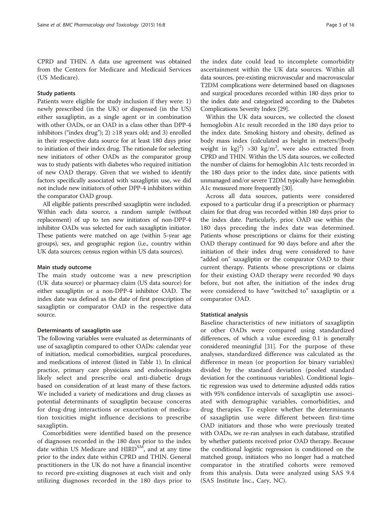CPRD and THIN. A data use agreement was obtained from the Centers for Medicare and Medicaid Services (US Medicare).

## Study patients

Patients were eligible for study inclusion if they were: 1) newly prescribed (in the UK) or dispensed (in the US) either saxagliptin, as a single agent or in combination with other OADs, or an OAD in a class other than DPP-4 inhibitors ("index drug"); 2)  $\geq$  18 years old; and 3) enrolled in their respective data source for at least 180 days prior to initiation of their index drug. The rationale for selecting new initiators of other OADs as the comparator group was to study patients with diabetes who required initiation of new OAD therapy. Given that we wished to identify factors specifically associated with saxagliptin use, we did not include new initiators of other DPP-4 inhibitors within the comparator OAD group.

All eligible patients prescribed saxagliptin were included. Within each data source, a random sample (without replacement) of up to ten new initiators of non-DPP-4 inhibitor OADs was selected for each saxagliptin initiator. These patients were matched on age (within 5-year age groups), sex, and geographic region (i.e., country within UK data sources; census region within US data sources).

## Main study outcome

The main study outcome was a new prescription (UK data source) or pharmacy claim (US data source) for either saxagliptin or a non-DPP-4 inhibitor OAD. The index date was defined as the date of first prescription of saxagliptin or comparator OAD in the respective data source.

## Determinants of saxagliptin use

The following variables were evaluated as determinants of use of saxagliptin compared to other OADs: calendar year of initiation, medical comorbidities, surgical procedures, and medications of interest (listed in Table [1](#page-3-0)). In clinical practice, primary care physicians and endocrinologists likely select and prescribe oral anti-diabetic drugs based on consideration of at least many of these factors. We included a variety of medications and drug classes as potential determinants of saxagliptin because concerns for drug-drug interactions or exacerbation of medication toxicities might influence decisions to prescribe saxagliptin.

Comorbidities were identified based on the presence of diagnoses recorded in the 180 days prior to the index date within US Medicare and HIRD<sup>SM</sup>, and at any time prior to the index date within CPRD and THIN. General practitioners in the UK do not have a financial incentive to record pre-existing diagnoses at each visit and only utilizing diagnoses recorded in the 180 days prior to

the index date could lead to incomplete comorbidity ascertainment within the UK data sources. Within all data sources, pre-existing microvascular and macrovascular T2DM complications were determined based on diagnoses and surgical procedures recorded within 180 days prior to the index date and categorized according to the Diabetes Complications Severity Index [\[29\]](#page-14-0).

Within the UK data sources, we collected the closest hemoglobin A1c result recorded in the 180 days prior to the index date. Smoking history and obesity, defined as body mass index (calculated as height in meters/[body weight in  $\text{kg}$ <sup>2</sup>) > 30 kg/m<sup>2</sup>, were also extracted from CPRD and THIN. Within the US data sources, we collected the number of claims for hemoglobin A1c tests recorded in the 180 days prior to the index date, since patients with unmanaged and/or severe T2DM typically have hemoglobin A1c measured more frequently [[30\]](#page-14-0).

Across all data sources, patients were considered exposed to a particular drug if a prescription or pharmacy claim for that drug was recorded within 180 days prior to the index date. Particularly, prior OAD use within the 180 days preceding the index date was determined. Patients whose prescriptions or claims for their existing OAD therapy continued for 90 days before and after the initiation of their index drug were considered to have "added on" saxagliptin or the comparator OAD to their current therapy. Patients whose prescriptions or claims for their existing OAD therapy were recorded 90 days before, but not after, the initiation of the index drug were considered to have "switched to" saxagliptin or a comparator OAD.

## Statistical analysis

Baseline characteristics of new initiators of saxagliptin or other OADs were compared using standardized differences, of which a value exceeding 0.1 is generally considered meaningful [\[31\]](#page-14-0). For the purpose of these analyses, standardized difference was calculated as the difference in mean (or proportion for binary variables) divided by the standard deviation (pooled standard deviation for the continuous variables). Conditional logistic regression was used to determine adjusted odds ratios with 95% confidence intervals of saxagliptin use associated with demographic variables, comorbidities, and drug therapies. To explore whether the determinants of saxagliptin use were different between first-time OAD initiators and those who were previously treated with OADs, we re-ran analyses in each database, stratified by whether patients received prior OAD therapy. Because the conditional logistic regression is conditioned on the matched group, initiators who no longer had a matched comparator in the stratified cohorts were removed from this analysis. Data were analyzed using SAS 9.4 (SAS Institute Inc., Cary, NC).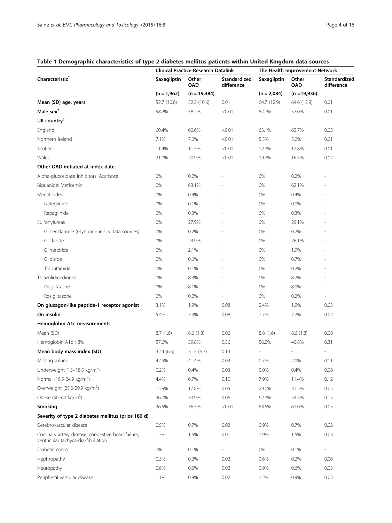# <span id="page-3-0"></span>Table 1 Demographic characteristics of type 2 diabetes mellitus patients within United Kingdom data sources

|                                                                                            |               | <b>Clinical Practice Research Datalink</b> |                            | The Health Improvement Network |                |                            |
|--------------------------------------------------------------------------------------------|---------------|--------------------------------------------|----------------------------|--------------------------------|----------------|----------------------------|
| Characteristic <sup>®</sup>                                                                | Saxagliptin   | Other<br>OAD                               | Standardized<br>difference | Saxagliptin                    | Other<br>OAD   | Standardized<br>difference |
|                                                                                            | $(n = 1,962)$ | $(n = 19,484)$                             |                            | $(n = 2,084)$                  | $(n = 19,936)$ |                            |
| Mean (SD) age, years <sup><math>†</math></sup>                                             | 52.7 (10.6)   | 52.2 (10.6)                                | 0.01                       | 64.7 (12.9)                    | 64.6 (12.9)    | 0.01                       |
| Male $sex^{\dagger}$                                                                       | 58.2%         | 58.2%                                      | < 0.01                     | 57.7%                          | 57.0%          | 0.01                       |
| UK country $†$                                                                             |               |                                            |                            |                                |                |                            |
| England                                                                                    | 60.4%         | 60.6%                                      | < 0.01                     | 63.1%                          | 65.7%          | 0.05                       |
| Northern Ireland                                                                           | 7.1%          | 7.0%                                       | < 0.01                     | 5.3%                           | 5.0%           | 0.01                       |
| Scotland                                                                                   | 11.4%         | 11.5%                                      | < 0.01                     | 12.3%                          | 12.8%          | 0.01                       |
| Wales                                                                                      | 21.0%         | 20.9%                                      | < 0.01                     | 19.2%                          | 16.5%          | 0.07                       |
| Other OAD initiated at index date                                                          |               |                                            |                            |                                |                |                            |
| Alpha-glucosidase inhibitors: Acarbose                                                     | 0%            | 0.2%                                       |                            | 0%                             | 0.2%           |                            |
| Biguanide: Metformin                                                                       | 0%            | 63.1%                                      |                            | 0%                             | 62.1%          |                            |
| Meglitinides                                                                               | 0%            | 0.4%                                       |                            | 0%                             | 0.4%           |                            |
| Nateglinide                                                                                | 0%            | 0.1%                                       |                            | 0%                             | 0.0%           |                            |
| Repaglinide                                                                                | 0%            | 0.3%                                       |                            | 0%                             | 0.3%           |                            |
| Sulfonylureas                                                                              | 0%            | 27.9%                                      |                            | 0%                             | 29.1%          |                            |
| Glibenclamide (Glyburide in US data sources)                                               | 0%            | 0.2%                                       |                            | 0%                             | 0.2%           |                            |
| Gliclazide                                                                                 | 0%            | 24.9%                                      |                            | 0%                             | 26.1%          |                            |
| Glimepiride                                                                                | 0%            | 2.1%                                       |                            | 0%                             | 1.9%           |                            |
| Glipizide                                                                                  | 0%            | 0.6%                                       |                            | 0%                             | 0.7%           |                            |
| Tolbutamide                                                                                | 0%            | 0.1%                                       |                            | 0%                             | 0.2%           |                            |
| Thiazolidinediones                                                                         | 0%            | 8.3%                                       |                            | 0%                             | 8.2%           |                            |
| Pioglitazone                                                                               | 0%            | 8.1%                                       |                            | 0%                             | 8.0%           |                            |
| Rosiglitazone                                                                              | 0%            | 0.2%                                       |                            | 0%                             | 0.2%           |                            |
| On glucagon-like peptide-1 receptor agonist                                                | 3.1%          | 1.9%                                       | 0.08                       | 2.4%                           | 1.9%           | 0.03                       |
| On insulin                                                                                 | 5.4%          | 7.3%                                       | 0.08                       | 7.7%                           | 7.2%           | 0.02                       |
| Hemoglobin A1c measurements                                                                |               |                                            |                            |                                |                |                            |
| Mean (SD)                                                                                  | 8.7(1.6)      | 8.6(1.8)                                   | 0.06                       | 8.8(1.6)                       | 8.6(1.8)       | 0.08                       |
| Hemoglobin A1c >8%                                                                         | 57.6%         | 39.8%                                      | 0.36                       | 56.2%                          | 40.8%          | 0.31                       |
| Mean body mass index (SD)                                                                  | 32.4 (6.5)    | 31.5(6.7)                                  | 0.14                       |                                |                |                            |
| Missing values                                                                             | 42.9%         | 41.4%                                      | 0.03                       | 0.7%                           | 2.0%           | 0.11                       |
| Underweight (15-18.5 kg/m <sup>2</sup> )                                                   | 0.2%          | 0.4%                                       | 0.03                       | $0.0\%$                        | 0.4%           | 0.08                       |
| Normal (18.5-24.9 kg/m <sup>2</sup> )                                                      | 4.4%          | 6.7%                                       | 0.10                       | 7.9%                           | 11.4%          | 0.12                       |
| Overweight (25.0-29.9 kg/m <sup>2</sup> )                                                  | 15.9%         | 17.8%                                      | 0.05                       | 29.0%                          | 31.5%          | 0.05                       |
| Obese (30-60 kg/m <sup>2</sup> )                                                           | 36.7%         | 33.9%                                      | 0.06                       | 62.3%                          | 54.7%          | 0.15                       |
| Smoking                                                                                    | 36.5%         | 36.5%                                      | < 0.01                     | 63.5%                          | 61.0%          | 0.05                       |
| Severity of type 2 diabetes mellitus (prior 180 d)                                         |               |                                            |                            |                                |                |                            |
| Cerebrovascular disease                                                                    | 0.5%          | 0.7%                                       | 0.02                       | 0.9%                           | 0.7%           | 0.02                       |
| Coronary artery disease, congestive heart failure,<br>ventricular tachycardia/fibrillation | 1.3%          | 1.5%                                       | 0.01                       | 1.9%                           | 1.5%           | 0.03                       |
| Diabetic coma                                                                              | $0\%$         | 0.1%                                       |                            | $0\%$                          | 0.1%           | $\overline{\phantom{0}}$   |
| Nephropathy                                                                                | 0.3%          | 0.2%                                       | 0.02                       | 0.6%                           | 0.2%           | 0.06                       |
| Neuropathy                                                                                 | 0.8%          | 0.6%                                       | 0.02                       | 0.9%                           | 0.6%           | 0.03                       |
| Peripheral vascular disease                                                                | 1.1%          | 0.9%                                       | 0.02                       | 1.2%                           | 0.9%           | 0.03                       |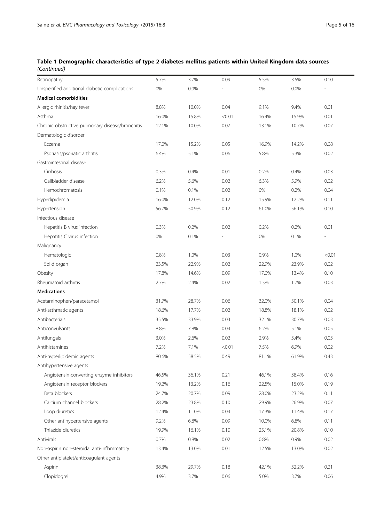## Table 1 Demographic characteristics of type 2 diabetes mellitus patients within United Kingdom data sources (Continued)

| Retinopathy                                      | 5.7%  | 3.7%  | 0.09   | 5.5%  | 3.5%  | 0.10   |
|--------------------------------------------------|-------|-------|--------|-------|-------|--------|
| Unspecified additional diabetic complications    | 0%    | 0.0%  |        | $0\%$ | 0.0%  |        |
| <b>Medical comorbidities</b>                     |       |       |        |       |       |        |
| Allergic rhinitis/hay fever                      | 8.8%  | 10.0% | 0.04   | 9.1%  | 9.4%  | 0.01   |
| Asthma                                           | 16.0% | 15.8% | < 0.01 | 16.4% | 15.9% | 0.01   |
| Chronic obstructive pulmonary disease/bronchitis | 12.1% | 10.0% | 0.07   | 13.1% | 10.7% | 0.07   |
| Dermatologic disorder                            |       |       |        |       |       |        |
| Eczema                                           | 17.0% | 15.2% | 0.05   | 16.9% | 14.2% | 0.08   |
| Psoriasis/psoriatic arthritis                    | 6.4%  | 5.1%  | 0.06   | 5.8%  | 5.3%  | 0.02   |
| Gastrointestinal disease                         |       |       |        |       |       |        |
| Cirrhosis                                        | 0.3%  | 0.4%  | 0.01   | 0.2%  | 0.4%  | 0.03   |
| Gallbladder disease                              | 6.2%  | 5.6%  | 0.02   | 6.3%  | 5.9%  | 0.02   |
| Hemochromatosis                                  | 0.1%  | 0.1%  | 0.02   | $0\%$ | 0.2%  | 0.04   |
| Hyperlipidemia                                   | 16.0% | 12.0% | 0.12   | 15.9% | 12.2% | 0.11   |
| Hypertension                                     | 56.7% | 50.9% | 0.12   | 61.0% | 56.1% | 0.10   |
| Infectious disease                               |       |       |        |       |       |        |
| Hepatitis B virus infection                      | 0.3%  | 0.2%  | 0.02   | 0.2%  | 0.2%  | 0.01   |
| Hepatitis C virus infection                      | 0%    | 0.1%  |        | $0\%$ | 0.1%  |        |
| Malignancy                                       |       |       |        |       |       |        |
| Hematologic                                      | 0.8%  | 1.0%  | 0.03   | 0.9%  | 1.0%  | < 0.01 |
| Solid organ                                      | 23.5% | 22.9% | 0.02   | 22.9% | 23.9% | 0.02   |
| Obesity                                          | 17.8% | 14.6% | 0.09   | 17.0% | 13.4% | 0.10   |
| Rheumatoid arthritis                             | 2.7%  | 2.4%  | 0.02   | 1.3%  | 1.7%  | 0.03   |
| <b>Medications</b>                               |       |       |        |       |       |        |
| Acetaminophen/paracetamol                        | 31.7% | 28.7% | 0.06   | 32.0% | 30.1% | 0.04   |
| Anti-asthmatic agents                            | 18.6% | 17.7% | 0.02   | 18.8% | 18.1% | 0.02   |
| Antibacterials                                   | 35.5% | 33.9% | 0.03   | 32.1% | 30.7% | 0.03   |
| Anticonvulsants                                  | 8.8%  | 7.8%  | 0.04   | 6.2%  | 5.1%  | 0.05   |
| Antifungals                                      | 3.0%  | 2.6%  | 0.02   | 2.9%  | 3.4%  | 0.03   |
| Antihistamines                                   | 7.2%  | 7.1%  | < 0.01 | 7.5%  | 6.9%  | 0.02   |
| Anti-hyperlipidemic agents                       | 80.6% | 58.5% | 0.49   | 81.1% | 61.9% | 0.43   |
| Antihypertensive agents                          |       |       |        |       |       |        |
| Angiotensin-converting enzyme inhibitors         | 46.5% | 36.1% | 0.21   | 46.1% | 38.4% | 0.16   |
| Angiotensin receptor blockers                    | 19.2% | 13.2% | 0.16   | 22.5% | 15.0% | 0.19   |
| Beta blockers                                    | 24.7% | 20.7% | 0.09   | 28.0% | 23.2% | 0.11   |
| Calcium channel blockers                         | 28.2% | 23.8% | 0.10   | 29.9% | 26.9% | 0.07   |
| Loop diuretics                                   | 12.4% | 11.0% | 0.04   | 17.3% | 11.4% | 0.17   |
| Other antihypertensive agents                    | 9.2%  | 6.8%  | 0.09   | 10.0% | 6.8%  | 0.11   |
| Thiazide diuretics                               | 19.9% | 16.1% | 0.10   | 25.1% | 20.8% | 0.10   |
| Antivirals                                       | 0.7%  | 0.8%  | 0.02   | 0.8%  | 0.9%  | 0.02   |
| Non-aspirin non-steroidal anti-inflammatory      | 13.4% | 13.0% | 0.01   | 12.5% | 13.0% | 0.02   |
| Other antiplatelet/anticoagulant agents          |       |       |        |       |       |        |
| Aspirin                                          | 38.3% | 29.7% | 0.18   | 42.1% | 32.2% | 0.21   |
| Clopidogrel                                      | 4.9%  | 3.7%  | 0.06   | 5.0%  | 3.7%  | 0.06   |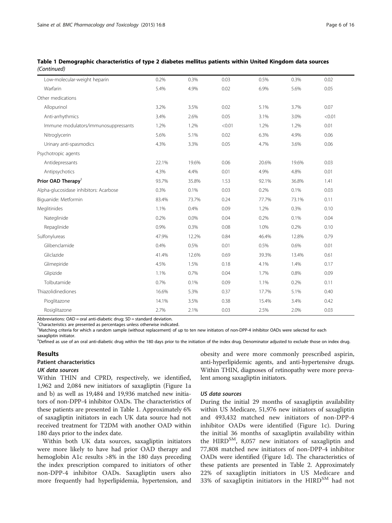| Low-molecular-weight heparin           | 0.2%  | 0.3%  | 0.03   | 0.5%  | 0.3%  | 0.02   |
|----------------------------------------|-------|-------|--------|-------|-------|--------|
| Warfarin                               | 5.4%  | 4.9%  | 0.02   | 6.9%  | 5.6%  | 0.05   |
| Other medications                      |       |       |        |       |       |        |
| Allopurinol                            | 3.2%  | 3.5%  | 0.02   | 5.1%  | 3.7%  | 0.07   |
| Anti-arrhythmics                       | 3.4%  | 2.6%  | 0.05   | 3.1%  | 3.0%  | < 0.01 |
| Immune modulators/immunosuppressants   | 1.2%  | 1.2%  | < 0.01 | 1.2%  | 1.2%  | 0.01   |
| Nitroglycerin                          | 5.6%  | 5.1%  | 0.02   | 6.3%  | 4.9%  | 0.06   |
| Urinary anti-spasmodics                | 4.3%  | 3.3%  | 0.05   | 4.7%  | 3.6%  | 0.06   |
| Psychotropic agents                    |       |       |        |       |       |        |
| Antidepressants                        | 22.1% | 19.6% | 0.06   | 20.6% | 19.6% | 0.03   |
| Antipsychotics                         | 4.3%  | 4.4%  | 0.01   | 4.9%  | 4.8%  | 0.01   |
| Prior OAD Therapy <sup>‡</sup>         | 93.7% | 35.8% | 1.53   | 92.1% | 36.8% | 1.41   |
| Alpha-glucosidase inhibitors: Acarbose | 0.3%  | 0.1%  | 0.03   | 0.2%  | 0.1%  | 0.03   |
| Biguanide: Metformin                   | 83.4% | 73.7% | 0.24   | 77.7% | 73.1% | 0.11   |
| Meglitinides                           | 1.1%  | 0.4%  | 0.09   | 1.2%  | 0.3%  | 0.10   |
| Nateglinide                            | 0.2%  | 0.0%  | 0.04   | 0.2%  | 0.1%  | 0.04   |
| Repaglinide                            | 0.9%  | 0.3%  | 0.08   | 1.0%  | 0.2%  | 0.10   |
| Sulfonylureas                          | 47.9% | 12.2% | 0.84   | 46.4% | 12.8% | 0.79   |
| Glibenclamide                          | 0.4%  | 0.5%  | 0.01   | 0.5%  | 0.6%  | 0.01   |
| Gliclazide                             | 41.4% | 12.6% | 0.69   | 39.3% | 13.4% | 0.61   |
| Glimepiride                            | 4.5%  | 1.5%  | 0.18   | 4.1%  | 1.4%  | 0.17   |
| Glipizide                              | 1.1%  | 0.7%  | 0.04   | 1.7%  | 0.8%  | 0.09   |
| Tolbutamide                            | 0.7%  | 0.1%  | 0.09   | 1.1%  | 0.2%  | 0.11   |
| Thiazolidinediones                     | 16.6% | 5.3%  | 0.37   | 17.7% | 5.1%  | 0.40   |
| Pioglitazone                           | 14.1% | 3.5%  | 0.38   | 15.4% | 3.4%  | 0.42   |

Table 1 Demographic characteristics of type 2 diabetes mellitus patients within United Kingdom data sources (Continued)

Abbreviations: OAD = oral anti-diabetic drug; SD = standard deviation.

\* Characteristics are presented as percentages unless otherwise indicated.

† Matching criteria for which a random sample (without replacement) of up to ten new initiators of non-DPP-4 inhibitor OADs were selected for each saxagliptin initiator.

Rosiglitazone 2.7% 2.1% 0.03 2.5% 2.0% 0.03

‡ Defined as use of an oral anti-diabetic drug within the 180 days prior to the initiation of the index drug. Denominator adjusted to exclude those on index drug.

### Results

## Patient characteristics

## UK data sources

Within THIN and CPRD, respectively, we identified, 1,962 and 2,084 new initiators of saxagliptin (Figure [1](#page-6-0)a and b) as well as 19,484 and 19,936 matched new initiators of non-DPP-4 inhibitor OADs. The characteristics of these patients are presented in Table [1.](#page-3-0) Approximately 6% of saxagliptin initiators in each UK data source had not received treatment for T2DM with another OAD within 180 days prior to the index date.

Within both UK data sources, saxagliptin initiators were more likely to have had prior OAD therapy and hemoglobin A1c results >8% in the 180 days preceding the index prescription compared to initiators of other non-DPP-4 inhibitor OADs. Saxagliptin users also more frequently had hyperlipidemia, hypertension, and obesity and were more commonly prescribed aspirin, anti-hyperlipidemic agents, and anti-hypertensive drugs. Within THIN, diagnoses of retinopathy were more prevalent among saxagliptin initiators.

#### US data sources

During the initial 29 months of saxagliptin availability within US Medicare, 51,976 new initiators of saxagliptin and 493,432 matched new initiators of non-DPP-4 inhibitor OADs were identified (Figure [1c](#page-6-0)). During the initial 36 months of saxagliptin availability within the HIRD<sup>SM</sup>, 8,057 new initiators of saxagliptin and 77,808 matched new initiators of non-DPP-4 inhibitor OADs were identified (Figure [1d](#page-6-0)). The characteristics of these patients are presented in Table [2](#page-7-0). Approximately 22% of saxagliptin initiators in US Medicare and 33% of saxagliptin initiators in the  $\text{HIRD}^{\text{SM}}$  had not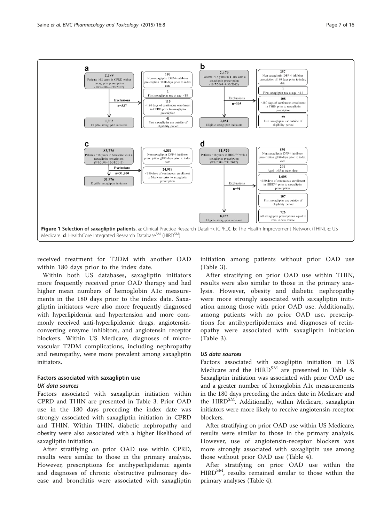<span id="page-6-0"></span>

received treatment for T2DM with another OAD within 180 days prior to the index date.

Within both US databases, saxagliptin initiators more frequently received prior OAD therapy and had higher mean numbers of hemoglobin A1c measurements in the 180 days prior to the index date. Saxagliptin initiators were also more frequently diagnosed with hyperlipidemia and hypertension and more commonly received anti-hyperlipidemic drugs, angiotensinconverting enzyme inhibitors, and angiotensin receptor blockers. Within US Medicare, diagnoses of microvascular T2DM complications, including nephropathy and neuropathy, were more prevalent among saxagliptin initiators.

## Factors associated with saxagliptin use UK data sources

Factors associated with saxagliptin initiation within CPRD and THIN are presented in Table [3.](#page-10-0) Prior OAD use in the 180 days preceding the index date was strongly associated with saxagliptin initiation in CPRD and THIN. Within THIN, diabetic nephropathy and obesity were also associated with a higher likelihood of saxagliptin initiation.

After stratifying on prior OAD use within CPRD, results were similar to those in the primary analysis. However, prescriptions for antihyperlipidemic agents and diagnoses of chronic obstructive pulmonary disease and bronchitis were associated with saxagliptin

initiation among patients without prior OAD use (Table [3\)](#page-10-0).

After stratifying on prior OAD use within THIN, results were also similar to those in the primary analysis. However, obesity and diabetic nephropathy were more strongly associated with saxagliptin initiation among those with prior OAD use. Additionally, among patients with no prior OAD use, prescriptions for antihyperlipidemics and diagnoses of retinopathy were associated with saxagliptin initiation (Table [3](#page-10-0)).

## US data sources

Factors associated with saxagliptin initiation in US Medicare and the  $HIRD<sup>SM</sup>$  are presented in Table [4](#page-12-0). Saxagliptin initiation was associated with prior OAD use and a greater number of hemoglobin A1c measurements in the 180 days preceding the index date in Medicare and the HIRD<sup>SM</sup>. Additionally, within Medicare, saxagliptin initiators were more likely to receive angiotensin-receptor blockers.

After stratifying on prior OAD use within US Medicare, results were similar to those in the primary analysis. However, use of angiotensin-receptor blockers was more strongly associated with saxagliptin use among those without prior OAD use (Table [4\)](#page-12-0).

After stratifying on prior OAD use within the HIRD<sup>SM</sup>, results remained similar to those within the primary analyses (Table [4](#page-12-0)).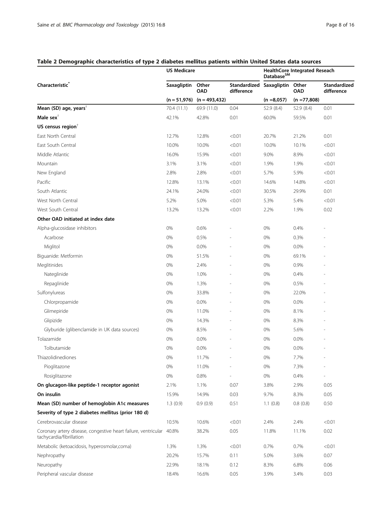## <span id="page-7-0"></span>Table 2 Demographic characteristics of type 2 diabetes mellitus patients within United States data sources

|                                                                                            | <b>US Medicare</b> |                                |                            | HealthCore Integrated Reseach<br>Database <sup>SM</sup> |                |                            |  |
|--------------------------------------------------------------------------------------------|--------------------|--------------------------------|----------------------------|---------------------------------------------------------|----------------|----------------------------|--|
| <b>Characteristic</b> <sup>®</sup>                                                         | Saxagliptin        | Other<br>OAD                   | Standardized<br>difference | Saxagliptin                                             | Other<br>OAD   | Standardized<br>difference |  |
|                                                                                            |                    | $(n = 51,976)$ $(n = 493,432)$ |                            | $(n = 8,057)$                                           | $(n = 77,808)$ |                            |  |
| Mean (SD) age, years <sup><math>†</math></sup>                                             | 70.4 (11.1)        | 69.9 (11.0)                    | 0.04                       | 52.9 (8.4)                                              | 52.9 (8.4)     | 0.01                       |  |
| Male sex $^{\dagger}$                                                                      | 42.1%              | 42.8%                          | 0.01                       | 60.0%                                                   | 59.5%          | 0.01                       |  |
| US census region $†$                                                                       |                    |                                |                            |                                                         |                |                            |  |
| East North Central                                                                         | 12.7%              | 12.8%                          | < 0.01                     | 20.7%                                                   | 21.2%          | 0.01                       |  |
| East South Central                                                                         | 10.0%              | 10.0%                          | < 0.01                     | 10.0%                                                   | 10.1%          | < 0.01                     |  |
| Middle Atlantic                                                                            | 16.0%              | 15.9%                          | < 0.01                     | 9.0%                                                    | 8.9%           | < 0.01                     |  |
| Mountain                                                                                   | 3.1%               | 3.1%                           | < 0.01                     | 1.9%                                                    | 1.9%           | < 0.01                     |  |
| New England                                                                                | 2.8%               | 2.8%                           | < 0.01                     | 5.7%                                                    | 5.9%           | < 0.01                     |  |
| Pacific                                                                                    | 12.8%              | 13.1%                          | < 0.01                     | 14.6%                                                   | 14.8%          | < 0.01                     |  |
| South Atlantic                                                                             | 24.1%              | 24.0%                          | < 0.01                     | 30.5%                                                   | 29.9%          | 0.01                       |  |
| West North Central                                                                         | 5.2%               | 5.0%                           | < 0.01                     | 5.3%                                                    | 5.4%           | < 0.01                     |  |
| West South Central                                                                         | 13.2%              | 13.2%                          | < 0.01                     | 2.2%                                                    | 1.9%           | 0.02                       |  |
| Other OAD initiated at index date                                                          |                    |                                |                            |                                                         |                |                            |  |
| Alpha-glucosidase inhibitors                                                               | 0%                 | 0.6%                           |                            | 0%                                                      | 0.4%           |                            |  |
| Acarbose                                                                                   | 0%                 | 0.5%                           |                            | 0%                                                      | 0.3%           |                            |  |
| Miglitol                                                                                   | 0%                 | 0.0%                           |                            | 0%                                                      | 0.0%           |                            |  |
| Biguanide: Metformin                                                                       | 0%                 | 51.5%                          |                            | 0%                                                      | 69.1%          |                            |  |
| Meglitinides                                                                               | 0%                 | 2.4%                           |                            | 0%                                                      | 0.9%           |                            |  |
| Nateglinide                                                                                | 0%                 | 1.0%                           |                            | 0%                                                      | 0.4%           |                            |  |
| Repaglinide                                                                                | 0%                 | 1.3%                           |                            | 0%                                                      | 0.5%           |                            |  |
| Sulfonylureas                                                                              | 0%                 | 33.8%                          |                            | 0%                                                      | 22.0%          |                            |  |
| Chlorpropamide                                                                             | 0%                 | 0.0%                           |                            | 0%                                                      | 0.0%           |                            |  |
| Glimepiride                                                                                | 0%                 | 11.0%                          |                            | 0%                                                      | 8.1%           |                            |  |
| Glipizide                                                                                  | 0%                 | 14.3%                          |                            | 0%                                                      | 8.3%           |                            |  |
| Glyburide (glibenclamide in UK data sources)                                               | 0%                 | 8.5%                           |                            | 0%                                                      | 5.6%           |                            |  |
| Tolazamide                                                                                 | 0%                 | 0.0%                           |                            | 0%                                                      | 0.0%           |                            |  |
| Tolbutamide                                                                                | 0%                 | 0.0%                           |                            | 0%                                                      | 0.0%           |                            |  |
| Thiazolidinediones                                                                         | 0%                 | 11.7%                          |                            | 0%                                                      | 7.7%           |                            |  |
| Pioglitazone                                                                               | 0%                 | 11.0%                          |                            | 0%                                                      | 7.3%           |                            |  |
| Rosiglitazone                                                                              | 0%                 | 0.8%                           |                            | 0%                                                      | 0.4%           |                            |  |
| On glucagon-like peptide-1 receptor agonist                                                | 2.1%               | 1.1%                           | 0.07                       | 3.8%                                                    | 2.9%           | 0.05                       |  |
| On insulin                                                                                 | 15.9%              | 14.9%                          | 0.03                       | 9.7%                                                    | 8.3%           | 0.05                       |  |
| Mean (SD) number of hemoglobin A1c measures                                                | 1.3(0.9)           | 0.9(0.9)                       | 0.51                       | 1.1(0.8)                                                | 0.8(0.8)       | 0.50                       |  |
| Severity of type 2 diabetes mellitus (prior 180 d)                                         |                    |                                |                            |                                                         |                |                            |  |
| Cerebrovascular disease                                                                    | 10.5%              | 10.6%                          | < 0.01                     | 2.4%                                                    | 2.4%           | < 0.01                     |  |
| Coronary artery disease, congestive heart failure, ventricular<br>tachycardia/fibrillation | 40.8%              | 38.2%                          | 0.05                       | 11.8%                                                   | 11.1%          | 0.02                       |  |
| Metabolic (ketoacidosis, hyperosmolar,coma)                                                | 1.3%               | 1.3%                           | < 0.01                     | 0.7%                                                    | 0.7%           | < 0.01                     |  |
| Nephropathy                                                                                | 20.2%              | 15.7%                          | 0.11                       | 5.0%                                                    | 3.6%           | 0.07                       |  |
| Neuropathy                                                                                 | 22.9%              | 18.1%                          | 0.12                       | 8.3%                                                    | 6.8%           | 0.06                       |  |
| Peripheral vascular disease                                                                | 18.4%              | 16.6%                          | 0.05                       | 3.9%                                                    | 3.4%           | 0.03                       |  |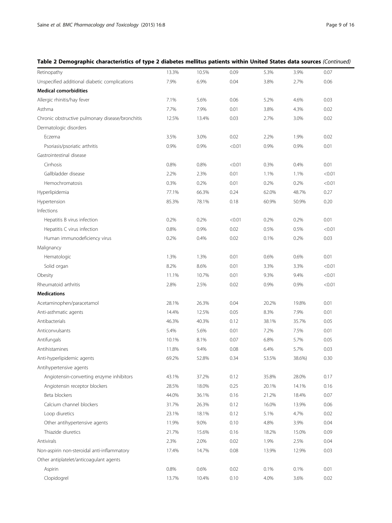# Table 2 Demographic characteristics of type 2 diabetes mellitus patients within United States data sources (Continued)

| Retinopathy                                      | 13.3% | 10.5% | 0.09   | 5.3%  | 3.9%   | 0.07   |
|--------------------------------------------------|-------|-------|--------|-------|--------|--------|
| Unspecified additional diabetic complications    | 7.9%  | 6.9%  | 0.04   | 3.8%  | 2.7%   | 0.06   |
| <b>Medical comorbidities</b>                     |       |       |        |       |        |        |
| Allergic rhinitis/hay fever                      | 7.1%  | 5.6%  | 0.06   | 5.2%  | 4.6%   | 0.03   |
| Asthma                                           | 7.7%  | 7.9%  | 0.01   | 3.8%  | 4.3%   | 0.02   |
| Chronic obstructive pulmonary disease/bronchitis | 12.5% | 13.4% | 0.03   | 2.7%  | 3.0%   | 0.02   |
| Dermatologic disorders                           |       |       |        |       |        |        |
| Eczema                                           | 3.5%  | 3.0%  | 0.02   | 2.2%  | 1.9%   | 0.02   |
| Psoriasis/psoriatic arthritis                    | 0.9%  | 0.9%  | < 0.01 | 0.9%  | 0.9%   | 0.01   |
| Gastrointestinal disease                         |       |       |        |       |        |        |
| Cirrhosis                                        | 0.8%  | 0.8%  | < 0.01 | 0.3%  | 0.4%   | 0.01   |
| Gallbladder disease                              | 2.2%  | 2.3%  | 0.01   | 1.1%  | 1.1%   | < 0.01 |
| Hemochromatosis                                  | 0.3%  | 0.2%  | 0.01   | 0.2%  | 0.2%   | < 0.01 |
| Hyperlipidemia                                   | 77.1% | 66.3% | 0.24   | 62.0% | 48.7%  | 0.27   |
| Hypertension                                     | 85.3% | 78.1% | 0.18   | 60.9% | 50.9%  | 0.20   |
| Infections                                       |       |       |        |       |        |        |
| Hepatitis B virus infection                      | 0.2%  | 0.2%  | < 0.01 | 0.2%  | 0.2%   | 0.01   |
| Hepatitis C virus infection                      | 0.8%  | 0.9%  | 0.02   | 0.5%  | 0.5%   | < 0.01 |
| Human immunodeficiency virus                     | 0.2%  | 0.4%  | 0.02   | 0.1%  | 0.2%   | 0.03   |
| Malignancy                                       |       |       |        |       |        |        |
| Hematologic                                      | 1.3%  | 1.3%  | 0.01   | 0.6%  | 0.6%   | 0.01   |
| Solid organ                                      | 8.2%  | 8.6%  | 0.01   | 3.3%  | 3.3%   | < 0.01 |
| Obesity                                          | 11.1% | 10.7% | 0.01   | 9.3%  | 9.4%   | < 0.01 |
| Rheumatoid arthritis                             | 2.8%  | 2.5%  | 0.02   | 0.9%  | 0.9%   | < 0.01 |
| <b>Medications</b>                               |       |       |        |       |        |        |
| Acetaminophen/paracetamol                        | 28.1% | 26.3% | 0.04   | 20.2% | 19.8%  | 0.01   |
| Anti-asthmatic agents                            | 14.4% | 12.5% | 0.05   | 8.3%  | 7.9%   | 0.01   |
| Antibacterials                                   | 46.3% | 40.3% | 0.12   | 38.1% | 35.7%  | 0.05   |
| Anticonvulsants                                  | 5.4%  | 5.6%  | 0.01   | 7.2%  | 7.5%   | 0.01   |
| Antifungals                                      | 10.1% | 8.1%  | 0.07   | 6.8%  | 5.7%   | 0.05   |
| Antihistamines                                   | 11.8% | 9.4%  | 0.08   | 6.4%  | 5.7%   | 0.03   |
| Anti-hyperlipidemic agents                       | 69.2% | 52.8% | 0.34   | 53.5% | 38.6%) | 0.30   |
| Antihypertensive agents                          |       |       |        |       |        |        |
| Angiotensin-converting enzyme inhibitors         | 43.1% | 37.2% | 0.12   | 35.8% | 28.0%  | 0.17   |
| Angiotensin receptor blockers                    | 28.5% | 18.0% | 0.25   | 20.1% | 14.1%  | 0.16   |
| Beta blockers                                    | 44.0% | 36.1% | 0.16   | 21.2% | 18.4%  | 0.07   |
| Calcium channel blockers                         | 31.7% | 26.3% | 0.12   | 16.0% | 13.9%  | 0.06   |
| Loop diuretics                                   | 23.1% | 18.1% | 0.12   | 5.1%  | 4.7%   | 0.02   |
| Other antihypertensive agents                    | 11.9% | 9.0%  | 0.10   | 4.8%  | 3.9%   | 0.04   |
| Thiazide diuretics                               | 21.7% | 15.6% | 0.16   | 18.2% | 15.0%  | 0.09   |
| Antivirals                                       | 2.3%  | 2.0%  | 0.02   | 1.9%  | 2.5%   | 0.04   |
| Non-aspirin non-steroidal anti-inflammatory      | 17.4% | 14.7% | 0.08   | 13.9% | 12.9%  | 0.03   |
| Other antiplatelet/anticoagulant agents          |       |       |        |       |        |        |
| Aspirin                                          | 0.8%  | 0.6%  | 0.02   | 0.1%  | 0.1%   | 0.01   |
| Clopidogrel                                      | 13.7% | 10.4% | 0.10   | 4.0%  | 3.6%   | 0.02   |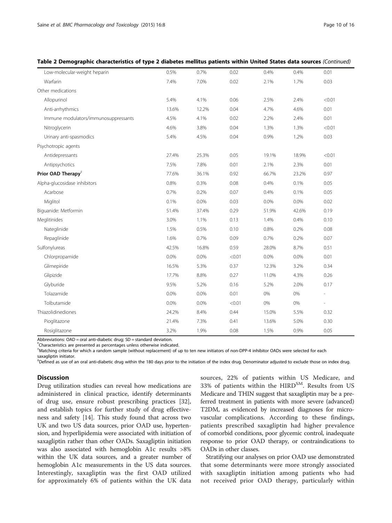| Table 2 Demographic characteristics of type 2 diabetes mellitus patients within United States data sources (Continued) |  |  |  |
|------------------------------------------------------------------------------------------------------------------------|--|--|--|
|------------------------------------------------------------------------------------------------------------------------|--|--|--|

| Low-molecular-weight heparin         | 0.5%  | 0.7%  | 0.02   | 0.4%  | 0.4%  | 0.01                     |  |
|--------------------------------------|-------|-------|--------|-------|-------|--------------------------|--|
| Warfarin                             | 7.4%  | 7.0%  | 0.02   | 2.1%  | 1.7%  | 0.03                     |  |
| Other medications                    |       |       |        |       |       |                          |  |
| Allopurinol                          | 5.4%  | 4.1%  | 0.06   | 2.5%  | 2.4%  | < 0.01                   |  |
| Anti-arrhythmics                     | 13.6% | 12.2% | 0.04   | 4.7%  | 4.6%  | 0.01                     |  |
| Immune modulators/immunosuppressants | 4.5%  | 4.1%  | 0.02   | 2.2%  | 2.4%  | 0.01                     |  |
| Nitroglycerin                        | 4.6%  | 3.8%  | 0.04   | 1.3%  | 1.3%  | < 0.01                   |  |
| Urinary anti-spasmodics              | 5.4%  | 4.5%  | 0.04   | 0.9%  | 1.2%  | 0.03                     |  |
| Psychotropic agents                  |       |       |        |       |       |                          |  |
| Antidepressants                      | 27.4% | 25.3% | 0.05   | 19.1% | 18.9% | < 0.01                   |  |
| Antipsychotics                       | 7.5%  | 7.8%  | 0.01   | 2.1%  | 2.3%  | 0.01                     |  |
| Prior OAD Therapy <sup>#</sup>       | 77.6% | 36.1% | 0.92   | 66.7% | 23.2% | 0.97                     |  |
| Alpha-glucosidase inhibitors         | 0.8%  | 0.3%  | 0.08   | 0.4%  | 0.1%  | 0.05                     |  |
| Acarbose                             | 0.7%  | 0.2%  | 0.07   | 0.4%  | 0.1%  | 0.05                     |  |
| Miglitol                             | 0.1%  | 0.0%  | 0.03   | 0.0%  | 0.0%  | 0.02                     |  |
| Biguanide: Metformin                 | 51.4% | 37.4% | 0.29   | 51.9% | 42.6% | 0.19                     |  |
| Meglitinides                         | 3.0%  | 1.1%  | 0.13   | 1.4%  | 0.4%  | 0.10                     |  |
| Nateglinide                          | 1.5%  | 0.5%  | 0.10   | 0.8%  | 0.2%  | 0.08                     |  |
| Repaglinide                          | 1.6%  | 0.7%  | 0.09   | 0.7%  | 0.2%  | 0.07                     |  |
| Sulfonylureas                        | 42.5% | 16.8% | 0.59   | 28.0% | 8.7%  | 0.51                     |  |
| Chlorpropamide                       | 0.0%  | 0.0%  | < 0.01 | 0.0%  | 0.0%  | 0.01                     |  |
| Glimepiride                          | 16.5% | 5.3%  | 0.37   | 12.3% | 3.2%  | 0.34                     |  |
| Glipizide                            | 17.7% | 8.8%  | 0.27   | 11.0% | 4.3%  | 0.26                     |  |
| Glyburide                            | 9.5%  | 5.2%  | 0.16   | 5.2%  | 2.0%  | 0.17                     |  |
| Tolazamide                           | 0.0%  | 0.0%  | 0.01   | 0%    | 0%    | $\overline{\phantom{a}}$ |  |
| Tolbutamide                          | 0.0%  | 0.0%  | < 0.01 | 0%    | 0%    | $\overline{\phantom{a}}$ |  |
| Thiazolidinediones                   | 24.2% | 8.4%  | 0.44   | 15.0% | 5.5%  | 0.32                     |  |
| Pioglitazone                         | 21.4% | 7.3%  | 0.41   | 13.6% | 5.0%  | 0.30                     |  |
| Rosiglitazone                        | 3.2%  | 1.9%  | 0.08   | 1.5%  | 0.9%  | 0.05                     |  |

Abbreviations: OAD = oral anti-diabetic drug; SD = standard deviation.

\* Characteristics are presented as percentages unless otherwise indicated.

† Matching criteria for which a random sample (without replacement) of up to ten new initiators of non-DPP-4 inhibitor OADs were selected for each saxagliptin initiator.

‡ Defined as use of an oral anti-diabetic drug within the 180 days prior to the initiation of the index drug. Denominator adjusted to exclude those on index drug.

## **Discussion**

Drug utilization studies can reveal how medications are administered in clinical practice, identify determinants of drug use, ensure robust prescribing practices [\[32](#page-14-0)], and establish topics for further study of drug effectiveness and safety [[14](#page-14-0)]. This study found that across two UK and two US data sources, prior OAD use, hypertension, and hyperlipidemia were associated with initiation of saxagliptin rather than other OADs. Saxagliptin initiation was also associated with hemoglobin A1c results >8% within the UK data sources, and a greater number of hemoglobin A1c measurements in the US data sources. Interestingly, saxagliptin was the first OAD utilized for approximately 6% of patients within the UK data

sources, 22% of patients within US Medicare, and 33% of patients within the HIRD<sup>SM</sup>. Results from US Medicare and THIN suggest that saxagliptin may be a preferred treatment in patients with more severe (advanced) T2DM, as evidenced by increased diagnoses for microvascular complications. According to these findings, patients prescribed saxagliptin had higher prevalence of comorbid conditions, poor glycemic control, inadequate response to prior OAD therapy, or contraindications to OADs in other classes.

Stratifying our analyses on prior OAD use demonstrated that some determinants were more strongly associated with saxagliptin initiation among patients who had not received prior OAD therapy, particularly within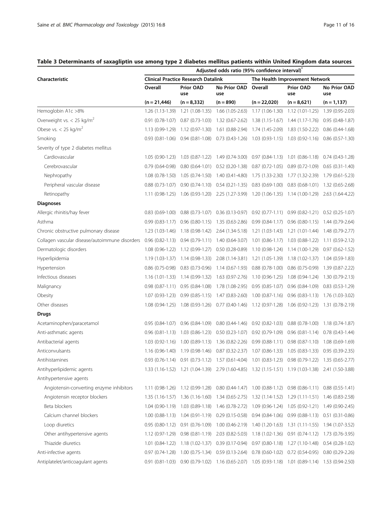# <span id="page-10-0"></span>Table 3 Determinants of saxagliptin use among type 2 diabetes mellitus patients within United Kingdom data sources

|                                                                 | Adjusted odds ratio (95% confidence interval) |                                                                                                       |                            |                                |                                                    |                                               |  |  |  |
|-----------------------------------------------------------------|-----------------------------------------------|-------------------------------------------------------------------------------------------------------|----------------------------|--------------------------------|----------------------------------------------------|-----------------------------------------------|--|--|--|
| Characteristic                                                  |                                               | <b>Clinical Practice Research Datalink</b>                                                            |                            | The Health Improvement Network |                                                    |                                               |  |  |  |
|                                                                 | Overall                                       | <b>Prior OAD</b><br>use                                                                               | <b>No Prior OAD</b><br>use | Overall                        | Prior OAD<br>use                                   | <b>No Prior OAD</b><br>use                    |  |  |  |
|                                                                 | $(n = 21,446)$                                | $(n = 8, 332)$                                                                                        | $(n = 890)$                | $(n = 22,020)$                 | $(n = 8,621)$                                      | $(n = 1, 137)$                                |  |  |  |
| Hemoglobin A1c >8%                                              | $1.26(1.13-1.39)$                             | $1.21(1.08-1.35)$                                                                                     | $1.66(1.05-2.63)$          | 1.17 (1.06-1.30)               | $1.12(1.01-1.25)$                                  | 1.39 (0.95-2.03)                              |  |  |  |
| Overweight vs. $<$ 25 kg/m <sup>2</sup>                         | $0.91(0.78-1.07)$                             | $0.87(0.73-1.03)$                                                                                     | $1.32(0.67 - 2.62)$        | $1.38(1.15-1.67)$              | 1.44 (1.17-1.76)                                   | $0.95(0.48-1.87)$                             |  |  |  |
| Obese vs. $<$ 25 kg/m <sup>2</sup>                              | 1.13 (0.99-1.29)                              | 1.12 (0.97-1.30)                                                                                      | 1.61 (0.88-2.94)           | 1.74 (1.45-2.09)               | 1.83 (1.50-2.22)                                   | $0.86$ $(0.44 - 1.68)$                        |  |  |  |
| Smoking                                                         | $0.93(0.81-1.06)$                             | $0.94(0.81 - 1.08)$                                                                                   | $0.73(0.43-1.26)$          | $1.03(0.93-1.15)$              | $1.03(0.92 - 1.16)$                                | $0.86$ $(0.57 - 1.30)$                        |  |  |  |
| Severity of type 2 diabetes mellitus                            |                                               |                                                                                                       |                            |                                |                                                    |                                               |  |  |  |
| Cardiovascular                                                  | $1.05(0.90-1.23)$                             | 1.03 (0.87-1.22)                                                                                      | 1.49 (0.74-3.00)           | $0.97(0.84 - 1.13)$            | 1.01 (0.86-1.18) 0.74 (0.43-1.28)                  |                                               |  |  |  |
| Cerebrovascular                                                 | $0.79(0.64 - 0.98)$                           | $0.80(0.64 - 1.01)$                                                                                   | $0.52(0.20-1.38)$          | $0.87(0.72 - 1.05)$            |                                                    | $0.89(0.72-1.09)$ $0.65(0.31-1.40)$           |  |  |  |
| Nephropathy                                                     | $1.08(0.78-1.50)$                             | $1.05(0.74-1.50)$                                                                                     | 1.40 (0.41-4.80)           | 1.75 (1.33-2.30)               |                                                    | 1.77 (1.32-2.39) 1.79 (0.61-5.23)             |  |  |  |
| Peripheral vascular disease                                     | $0.88$ $(0.73 - 1.07)$                        | $0.90(0.74-1.10)$                                                                                     | $0.54(0.21-1.35)$          | $0.83(0.69-1.00)$              |                                                    | $0.83$ $(0.68-1.01)$ 1.32 $(0.65-2.68)$       |  |  |  |
| Retinopathy                                                     | $1.11(0.98-1.25)$                             | 1.06 (0.93-1.20)                                                                                      | 2.25 (1.27-3.99)           |                                | 1.20 (1.06-1.35) 1.14 (1.00-1.29) 2.63 (1.64-4.22) |                                               |  |  |  |
| <b>Diagnoses</b>                                                |                                               |                                                                                                       |                            |                                |                                                    |                                               |  |  |  |
| Allergic rhinitis/hay fever                                     | $0.83(0.69-1.00)$                             | $0.88$ $(0.73 - 1.07)$                                                                                | $0.36(0.13-0.97)$          |                                | 0.92 (0.77-1.11) 0.99 (0.82-1.21) 0.52 (0.25-1.07) |                                               |  |  |  |
| Asthma                                                          | $0.99(0.83 - 1.17)$                           | $0.96(0.80-1.15)$                                                                                     | 1.35 (0.63-2.86)           | $0.99(0.84 - 1.17)$            |                                                    | $0.96$ $(0.80-1.15)$ 1.44 $(0.79-2.64)$       |  |  |  |
| Chronic obstructive pulmonary disease                           | 1.23 (1.03-1.46)                              | 1.18 (0.98-1.42)                                                                                      | 2.64 (1.34-5.18)           |                                | 1.21 (1.03-1.43) 1.21 (1.01-1.44) 1.48 (0.79-2.77) |                                               |  |  |  |
| Collagen vascular disease/autoimmune disorders 0.96 (0.82-1.13) |                                               | $0.94(0.79-1.11)$                                                                                     | 1.40 (0.64-3.07)           | $1.01(0.86 - 1.17)$            | 1.03 (0.88-1.22)                                   | $1.11(0.59-2.12)$                             |  |  |  |
| Dermatologic disorders                                          | $1.08(0.96-1.22)$                             | 1.12 (0.99-1.27)                                                                                      | $0.50(0.28-0.89)$          | $1.10(0.98-1.24)$              | $1.14(1.00-1.29)$                                  | $0.97(0.62 - 1.52)$                           |  |  |  |
| Hyperlipidemia                                                  |                                               | $1.19(1.03-1.37)$ $1.14(0.98-1.33)$                                                                   | $2.08(1.14-3.81)$          | 1.21 (1.05-1.39)               |                                                    | 1.18 (1.02-1.37) 1.04 (0.59-1.83)             |  |  |  |
| Hypertension                                                    | $0.86(0.75-0.98)$                             | $0.83$ $(0.73 - 0.96)$                                                                                | $1.14(0.67-1.93)$          | $0.88$ $(0.78 - 1.00)$         | $0.86(0.75-0.99)$                                  | 1.39 (0.87-2.22)                              |  |  |  |
| Infectious diseases                                             |                                               | 1.16 (1.01-1.33) 1.14 (0.99-1.32)                                                                     | 1.63 (0.97-2.76)           | $1.10(0.96 - 1.25)$            | $1.08(0.94-1.24)$                                  | 1.30 (0.79-2.13)                              |  |  |  |
| Malignancy                                                      |                                               | 0.98 (0.87-1.11) 0.95 (0.84-1.08)                                                                     | 1.78 (1.08-2.95)           | $0.95(0.85 - 1.07)$            |                                                    | $0.96$ $(0.84-1.09)$ $0.83$ $(0.53-1.29)$     |  |  |  |
| Obesity                                                         | $1.07(0.93-1.23)$                             | $0.99(0.85 - 1.15)$                                                                                   | 1.47 (0.83-2.60)           | $1.00(0.87-1.16)$              |                                                    | $0.96$ $(0.83-1.13)$ 1.76 $(1.03-3.02)$       |  |  |  |
| Other diseases                                                  | $1.08(0.94-1.25)$                             | 1.08 (0.93-1.26)                                                                                      | $0.77(0.40-1.46)$          | 1.12 (0.97-1.28)               |                                                    | 1.06 (0.92-1.23) 1.31 (0.78-2.19)             |  |  |  |
| <b>Drugs</b>                                                    |                                               |                                                                                                       |                            |                                |                                                    |                                               |  |  |  |
| Acetaminophen/paracetamol                                       | $0.95(0.84-1.07)$                             | $0.96(0.84 - 1.09)$                                                                                   | $0.80(0.44-1.46)$          | $0.92(0.82 - 1.03)$            |                                                    | $0.88$ $(0.78-1.00)$ 1.18 $(0.74-1.87)$       |  |  |  |
| Anti-asthmatic agents                                           |                                               | $0.96$ $(0.81 - 1.13)$ 1.03 $(0.86 - 1.23)$                                                           | $0.50(0.23-1.07)$          | $0.92(0.79-1.09)$              |                                                    | $0.96$ $(0.81 - 1.14)$ $0.78$ $(0.43 - 1.44)$ |  |  |  |
| Antibacterial agents                                            |                                               | 1.03 (0.92-1.16) 1.00 (0.89-1.13)                                                                     | 1.36 (0.82-2.26)           | $0.99(0.88-1.11)$              |                                                    | $0.98$ $(0.87-1.10)$ 1.08 $(0.69-1.69)$       |  |  |  |
| Anticonvulsants                                                 | $1.16(0.96-1.40)$                             | $1.19(0.98-1.46)$                                                                                     | $0.87(0.32 - 2.37)$        | $1.07(0.86 - 1.33)$            | $1.05(0.83-1.33)$                                  | $0.95(0.39-2.35)$                             |  |  |  |
| Antihistamines                                                  |                                               | $0.93(0.76-1.14)$ $0.91(0.73-1.12)$                                                                   | 1.57 (0.61-4.04)           | $1.01(0.83-1.23)$              | $0.98(0.79-1.22)$                                  | $1.35(0.65 - 2.77)$                           |  |  |  |
| Antihyperlipidemic agents                                       |                                               | 1.33 (1.16-1.52) 1.21 (1.04-1.39) 2.79 (1.60-4.85) 1.32 (1.15-1.51) 1.19 (1.03-1.38) 2.41 (1.50-3.88) |                            |                                |                                                    |                                               |  |  |  |
| Antihypertensive agents                                         |                                               |                                                                                                       |                            |                                |                                                    |                                               |  |  |  |
| Angiotensin-converting enzyme inhibitors                        |                                               | 1.11 (0.98-1.26) 1.12 (0.99-1.28)                                                                     | $0.80(0.44-1.47)$          | $1.00(0.88-1.12)$              |                                                    | $0.98(0.86-1.11)$ $0.88(0.55-1.41)$           |  |  |  |
| Angiotensin receptor blockers                                   |                                               | 1.35 (1.16-1.57) 1.36 (1.16-1.60)                                                                     | $1.34(0.65 - 2.75)$        | 1.32 (1.14-1.52)               |                                                    | 1.29 (1.11-1.51) 1.46 (0.83-2.58)             |  |  |  |
| Beta blockers                                                   |                                               | 1.04 (0.90-1.19) 1.03 (0.89-1.18)                                                                     | 1.46 (0.78-2.72)           | 1.09 (0.96-1.24)               |                                                    | 1.05 (0.92-1.21) 1.49 (0.90-2.45)             |  |  |  |
| Calcium channel blockers                                        |                                               | $1.00(0.88-1.13)$ $1.04(0.91-1.19)$                                                                   | $0.29(0.15-0.58)$          | $0.94(0.84 - 1.06)$            |                                                    | $0.99$ $(0.88-1.13)$ $0.51$ $(0.31-0.86)$     |  |  |  |
| Loop diuretics                                                  | $0.95(0.80-1.12)$                             | $0.91(0.76-1.09)$                                                                                     | $1.00(0.46-2.19)$          | 1.40 (1.20-1.63)               | 1.31 (1.11-1.55) 1.94 (1.07-3.52)                  |                                               |  |  |  |
| Other antihypertensive agents                                   | 1.12 (0.97-1.29)                              | $0.98(0.81 - 1.19)$                                                                                   | $2.03(0.82 - 5.03)$        | 1.18 (1.02-1.36)               | $0.91(0.74-1.12)$                                  | 1.73 (0.76-3.95)                              |  |  |  |
| Thiazide diuretics                                              | $1.01(0.84-1.22)$                             | $1.18(1.02 - 1.37)$                                                                                   | $0.39(0.17-0.94)$          | $0.97(0.80-1.18)$              | $1.27(1.10-1.48)$                                  | $0.54(0.28-1.02)$                             |  |  |  |
| Anti-infective agents                                           | $0.97(0.74-1.28)$                             | 1.00 (0.75-1.34)                                                                                      | $0.59(0.13-2.64)$          | $0.78$ (0.60-1.02)             |                                                    | 0.72 (0.54-0.95) 0.80 (0.29-2.26)             |  |  |  |
| Antiplatelet/anticoagulant agents                               | $0.91(0.81 - 1.03)$                           | $0.90(0.79-1.02)$                                                                                     | 1.16 (0.65-2.07)           | $1.05(0.93-1.18)$              | 1.01 (0.89-1.14) 1.53 (0.94-2.50)                  |                                               |  |  |  |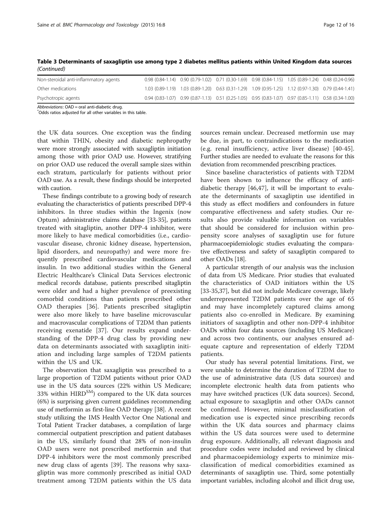| Non-steroidal anti-inflammatory agents |  | 0.98 (0.84-1.14) 0.90 (0.79-1.02) 0.71 (0.30-1.69) 0.98 (0.84-1.15) 1.05 (0.89-1.24) 0.48 (0.24-0.96) |  |
|----------------------------------------|--|-------------------------------------------------------------------------------------------------------|--|
| Other medications                      |  | 1.03 (0.89-1.19) 1.03 (0.89-1.20) 0.63 (0.31-1.29) 1.09 (0.95-1.25) 1.12 (0.97-1.30) 0.79 (0.44-1.41) |  |
| Psychotropic agents                    |  | 0.94 (0.83-1.07) 0.99 (0.87-1.13) 0.51 (0.25-1.05) 0.95 (0.83-1.07) 0.97 (0.85-1.11) 0.58 (0.34-1.00) |  |

Table 3 Determinants of saxagliptin use among type 2 diabetes mellitus patients within United Kingdom data sources (Continued)

Abbreviations:  $OAD = 0$  anti-diabetic drug.

Odds ratios adjusted for all other variables in this table.

the UK data sources. One exception was the finding that within THIN, obesity and diabetic nephropathy were more strongly associated with saxagliptin initiation among those with prior OAD use. However, stratifying on prior OAD use reduced the overall sample sizes within each stratum, particularly for patients without prior OAD use. As a result, these findings should be interpreted with caution.

These findings contribute to a growing body of research evaluating the characteristics of patients prescribed DPP-4 inhibitors. In three studies within the Ingenix (now Optum) administrative claims database [\[33-35\]](#page-14-0), patients treated with sitagliptin, another DPP-4 inhibitor, were more likely to have medical comorbidities (i.e., cardiovascular disease, chronic kidney disease, hypertension, lipid disorders, and neuropathy) and were more frequently prescribed cardiovascular medications and insulin. In two additional studies within the General Electric Healthcare's Clinical Data Services electronic medical records database, patients prescribed sitagliptin were older and had a higher prevalence of preexisting comorbid conditions than patients prescribed other OAD therapies [[36\]](#page-14-0). Patients prescribed sitagliptin were also more likely to have baseline microvascular and macrovascular complications of T2DM than patients receiving exenatide [[37\]](#page-14-0). Our results expand understanding of the DPP-4 drug class by providing new data on determinants associated with saxagliptin initiation and including large samples of T2DM patients within the US and UK.

The observation that saxagliptin was prescribed to a large proportion of T2DM patients without prior OAD use in the US data sources (22% within US Medicare; 33% within  $HIRD^{SM}$ ) compared to the UK data sources (6%) is surprising given current guidelines recommending use of metformin as first-line OAD therapy [[38](#page-14-0)]. A recent study utilizing the IMS Health Vector One National and Total Patient Tracker databases, a compilation of large commercial outpatient prescription and patient databases in the US, similarly found that 28% of non-insulin OAD users were not prescribed metformin and that DPP-4 inhibitors were the most commonly prescribed new drug class of agents [[39\]](#page-15-0). The reasons why saxagliptin was more commonly prescribed as initial OAD treatment among T2DM patients within the US data

sources remain unclear. Decreased metformin use may be due, in part, to contraindications to the medication (e.g. renal insufficiency, active liver disease) [\[40-45](#page-15-0)]. Further studies are needed to evaluate the reasons for this deviation from recommended prescribing practices.

Since baseline characteristics of patients with T2DM have been shown to influence the efficacy of antidiabetic therapy [[46,47](#page-15-0)], it will be important to evaluate the determinants of saxagliptin use identified in this study as effect modifiers and confounders in future comparative effectiveness and safety studies. Our results also provide valuable information on variables that should be considered for inclusion within propensity score analyses of saxagliptin use for future pharmacoepidemiologic studies evaluating the comparative effectiveness and safety of saxagliptin compared to other OADs [[18](#page-14-0)].

A particular strength of our analysis was the inclusion of data from US Medicare. Prior studies that evaluated the characteristics of OAD initiators within the US [[33-35,37\]](#page-14-0), but did not include Medicare coverage, likely underrepresented T2DM patients over the age of 65 and may have incompletely captured claims among patients also co-enrolled in Medicare. By examining initiators of saxagliptin and other non-DPP-4 inhibitor OADs within four data sources (including US Medicare) and across two continents, our analyses ensured adequate capture and representation of elderly T2DM patients.

Our study has several potential limitations. First, we were unable to determine the duration of T2DM due to the use of administrative data (US data sources) and incomplete electronic health data from patients who may have switched practices (UK data sources). Second, actual exposure to saxagliptin and other OADs cannot be confirmed. However, minimal misclassification of medication use is expected since prescribing records within the UK data sources and pharmacy claims within the US data sources were used to determine drug exposure. Additionally, all relevant diagnosis and procedure codes were included and reviewed by clinical and pharmacoepidemiology experts to minimize misclassification of medical comorbidities examined as determinants of saxagliptin use. Third, some potentially important variables, including alcohol and illicit drug use,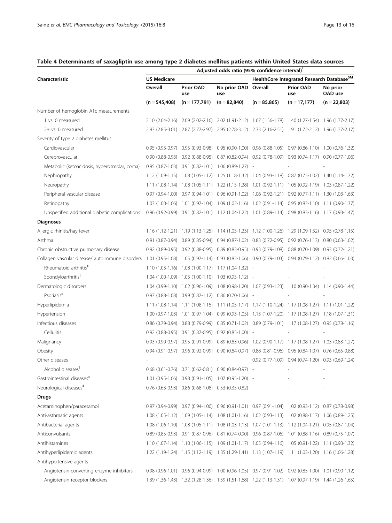# <span id="page-12-0"></span>Table 4 Determinants of saxagliptin use among type 2 diabetes mellitus patients within United States data sources

| <b>US Medicare</b><br>Characteristic<br><b>Prior OAD</b><br>Overall<br>use                                                                                          | No prior OAD Overall<br>use<br>$(n = 177, 791)$<br>$(n = 82,840)$                                                             |                 | HealthCore Integrated Research Database <sup>SM</sup><br><b>Prior OAD</b> | No prior       |
|---------------------------------------------------------------------------------------------------------------------------------------------------------------------|-------------------------------------------------------------------------------------------------------------------------------|-----------------|---------------------------------------------------------------------------|----------------|
|                                                                                                                                                                     |                                                                                                                               |                 |                                                                           |                |
|                                                                                                                                                                     |                                                                                                                               |                 | use                                                                       | OAD use        |
| $(n = 545,408)$                                                                                                                                                     |                                                                                                                               | $(n = 85, 865)$ | $(n = 17, 177)$                                                           | $(n = 22,803)$ |
| Number of hemoglobin A1c measurements                                                                                                                               |                                                                                                                               |                 |                                                                           |                |
| 1 vs. 0 measured                                                                                                                                                    | 2.10 (2.04-2.16) 2.09 (2.02-2.16) 2.02 (1.91-2.12) 1.67 (1.56-1.78) 1.40 (1.27-1.54) 1.96 (1.77-2.17)                         |                 |                                                                           |                |
| 2+ vs. 0 measured<br>2.93 (2.85-3.01) 2.87 (2.77-2.97) 2.95 (2.78-3.12) 2.33 (2.16-2.51) 1.91 (1.72-2.12) 1.96 (1.77-2.17)                                          |                                                                                                                               |                 |                                                                           |                |
| Severity of type 2 diabetes mellitus                                                                                                                                |                                                                                                                               |                 |                                                                           |                |
| Cardiovascular<br>0.95 (0.93-0.97) 0.95 (0.93-0.98) 0.95 (0.90-1.00) 0.96 (0.88-1.05) 0.97 (0.86-1.10) 1.00 (0.76-1.32)                                             |                                                                                                                               |                 |                                                                           |                |
| Cerebrovascular<br>0.90 (0.88-0.93) 0.92 (0.88-0.95) 0.87 (0.82-0.94) 0.92 (0.78-1.09) 0.93 (0.74-1.17) 0.90 (0.77-1.06)                                            |                                                                                                                               |                 |                                                                           |                |
| 0.95 (0.87-1.03) 0.91 (0.82-1.01) 1.06 (0.89-1.27) -<br>Metabolic (ketoacidosis, hyperosmolar, coma)                                                                |                                                                                                                               |                 |                                                                           |                |
| Nephropathy                                                                                                                                                         | $1.12$ (1.09-1.15) 1.08 (1.05-1.12) 1.25 (1.18-1.32) 1.04 (0.93-1.18) 0.87 (0.75-1.02) 1.40 (1.14-1.72)                       |                 |                                                                           |                |
| Neuropathy                                                                                                                                                          | $1.11$ $(1.08-1.14)$ $1.08$ $(1.05-1.11)$ $1.22$ $(1.15-1.28)$ $1.01$ $(0.92-1.11)$ $1.05$ $(0.92-1.19)$ $1.03$ $(0.87-1.22)$ |                 |                                                                           |                |
| Peripheral vascular disease<br>0.97 (0.94-1.00) 0.97 (0.94-1.01) 0.96 (0.91-1.02) 1.06 (0.92-1.21) 0.92 (0.77-1.11) 1.30 (1.03-1.63)                                |                                                                                                                               |                 |                                                                           |                |
| Retinopathy<br>$1.03(1.00-1.06)$                                                                                                                                    | 1.01 (0.97-1.04) 1.09 (1.02-1.16) 1.02 (0.91-1.14) 0.95 (0.82-1.10) 1.11 (0.90-1.37)                                          |                 |                                                                           |                |
| Unspecified additional diabetic complications <sup>T</sup><br>0.96 (0.92-0.99) 0.91 (0.82-1.01) 1.12 (1.04-1.22) 1.01 (0.89-1.14) 0.98 (0.83-1.16) 1.17 (0.93-1.47) |                                                                                                                               |                 |                                                                           |                |
| <b>Diagnoses</b>                                                                                                                                                    |                                                                                                                               |                 |                                                                           |                |
| Allergic rhinitis/hay fever                                                                                                                                         | 1.16 (1.12-1.21) 1.19 (1.13-1.25) 1.14 (1.05-1.23) 1.12 (1.00-1.26) 1.29 (1.09-1.52) 0.95 (0.78-1.15)                         |                 |                                                                           |                |
| Asthma<br>0.91 (0.87-0.94) 0.89 (0.85-0.94) 0.94 (0.87-1.02) 0.83 (0.72-0.95) 0.92 (0.76-1.13) 0.80 (0.63-1.02)                                                     |                                                                                                                               |                 |                                                                           |                |
| Chronic obstructive pulmonary disease<br>0.92 (0.89-0.95) 0.92 (0.88-0.95) 0.89 (0.83-0.95) 0.93 (0.79-1.08) 0.88 (0.70-1.09) 0.93 (0.72-1.21)                      |                                                                                                                               |                 |                                                                           |                |
| Collagen vascular disease/ autoimmune disorders<br>1.01 (0.95-1.08)                                                                                                 | 1.05 (0.97-1.14) 0.93 (0.82-1.06) 0.90 (0.79-1.03) 0.94 (0.79-1.12) 0.82 (0.66-1.03)                                          |                 |                                                                           |                |
| Rheumatoid arthritis <sup>#</sup>                                                                                                                                   | $1.10(1.03-1.16)$ $1.08(1.00-1.17)$ $1.17(1.04-1.32)$ -                                                                       |                 |                                                                           |                |
| Spondyloarthritis <sup>#</sup>                                                                                                                                      | $1.04(1.00-1.09)$ $1.05(1.00-1.10)$ $1.03(0.95-1.12)$ -                                                                       |                 |                                                                           |                |
| Dermatologic disorders                                                                                                                                              | 1.04 (0.99-1.10) 1.02 (0.96-1.09) 1.08 (0.98-1.20) 1.07 (0.93-1.23) 1.10 (0.90-1.34) 1.14 (0.90-1.44)                         |                 |                                                                           |                |
| Psoriasis <sup>#</sup><br>$0.97$ $(0.88-1.08)$ $0.99$ $(0.87-1.12)$ $0.86$ $(0.70-1.06)$ -                                                                          |                                                                                                                               |                 |                                                                           |                |
| Hyperlipidemia<br>1.11 (1.08-1.14) 1.11 (1.08-1.15) 1.11 (1.05-1.17) 1.17 (1.10-1.24) 1.17 (1.08-1.27) 1.11 (1.01-1.22)                                             |                                                                                                                               |                 |                                                                           |                |
| Hypertension                                                                                                                                                        | 1.00 (0.97-1.03) 1.01 (0.97-1.04) 0.99 (0.93-1.05) 1.13 (1.07-1.20) 1.17 (1.08-1.27) 1.18 (1.07-1.31)                         |                 |                                                                           |                |
| Infectious diseases<br>0.86 (0.79-0.94) 0.88 (0.79-0.99) 0.85 (0.71-1.02) 0.89 (0.79-1.01) 1.17 (1.08-1.27) 0.95 (0.78-1.16)                                        |                                                                                                                               |                 |                                                                           |                |
| Cellulitis <sup>#</sup><br>0.92 (0.88-0.95) 0.91 (0.87-0.95) 0.92 (0.85-1.00) -                                                                                     |                                                                                                                               |                 |                                                                           |                |
| Malignancy<br>0.93 (0.90-0.97) 0.95 (0.91-0.99) 0.89 (0.83-0.96) 1.02 (0.90-1.17) 1.17 (1.08-1.27) 1.03 (0.83-1.27)                                                 |                                                                                                                               |                 |                                                                           |                |
| Obesity<br>0.94 (0.91-0.97) 0.96 (0.92-0.99) 0.90 (0.84-0.97) 0.88 (0.81-0.96) 0.95 (0.84-1.07) 0.76 (0.65-0.88)                                                    |                                                                                                                               |                 |                                                                           |                |
| Other diseases                                                                                                                                                      |                                                                                                                               |                 | 0.92 (0.77-1.09) 0.94 (0.74-1.20) 0.93 (0.69-1.24)                        |                |
| Alcohol diseases <sup>#</sup>                                                                                                                                       | $0.68$ $(0.61 - 0.76)$ $0.71$ $(0.62 - 0.81)$ $0.90$ $(0.84 - 0.97)$ -                                                        |                 |                                                                           |                |
| Gastrointestinal diseases <sup>#</sup>                                                                                                                              | 1.01 (0.95-1.06) 0.98 (0.91-1.05) 1.07 (0.95-1.20) -                                                                          |                 |                                                                           |                |
| Neurological diseases <sup>#</sup><br>0.76 (0.63-0.93) 0.86 (0.68-1.08) 0.53 (0.35-0.82) -                                                                          |                                                                                                                               |                 |                                                                           |                |
| <b>Drugs</b>                                                                                                                                                        |                                                                                                                               |                 |                                                                           |                |
| Acetaminophen/paracetamol<br>0.97 (0.94-0.99) 0.97 (0.94-1.00) 0.96 (0.91-1.01) 0.97 (0.91-1.04) 1.02 (0.93-1.12) 0.87 (0.78-0.98)                                  |                                                                                                                               |                 |                                                                           |                |
| Anti-asthmatic agents                                                                                                                                               | 1.08 (1.05-1.12) 1.09 (1.05-1.14) 1.08 (1.01-1.16) 1.02 (0.93-1.13) 1.02 (0.88-1.17) 1.06 (0.89-1.25)                         |                 |                                                                           |                |
| Antibacterial agents                                                                                                                                                | 1.08 (1.06-1.10) 1.08 (1.05-1.11) 1.08 (1.03-1.13) 1.07 (1.01-1.13) 1.12 (1.04-1.21) 0.95 (0.87-1.04)                         |                 |                                                                           |                |
| Anticonvulsants<br>0.89 (0.85-0.93) 0.91 (0.87-0.96) 0.81 (0.74-0.90) 0.96 (0.87-1.06) 1.01 (0.88-1.16) 0.89 (0.75-1.07)                                            |                                                                                                                               |                 |                                                                           |                |
| 1.10 (1.07-1.14) 1.10 (1.06-1.15) 1.09 (1.01-1.17) 1.05 (0.94-1.16) 1.05 (0.91-1.22) 1.11 (0.93-1.32)<br>Antihistamines                                             |                                                                                                                               |                 |                                                                           |                |
| Antihyperlipidemic agents                                                                                                                                           | 1.22 (1.19-1.24) 1.15 (1.12-1.19) 1.35 (1.29-1.41) 1.13 (1.07-1.19) 1.11 (1.03-1.20) 1.16 (1.06-1.28)                         |                 |                                                                           |                |
| Antihypertensive agents                                                                                                                                             |                                                                                                                               |                 |                                                                           |                |
| Angiotensin-converting enzyme inhibitors<br>$0.98$ (0.96-1.01) $0.96$ (0.94-0.99) 1.00 (0.96-1.05) 0.97 (0.91-1.02) 0.92 (0.85-1.00) 1.01 (0.90-1.12)               |                                                                                                                               |                 |                                                                           |                |
| Angiotensin receptor blockers                                                                                                                                       | 1.39 (1.36-1.43) 1.32 (1.28-1.36) 1.59 (1.51-1.68) 1.22 (1.13-1.31) 1.07 (0.97-1.19) 1.44 (1.26-1.65)                         |                 |                                                                           |                |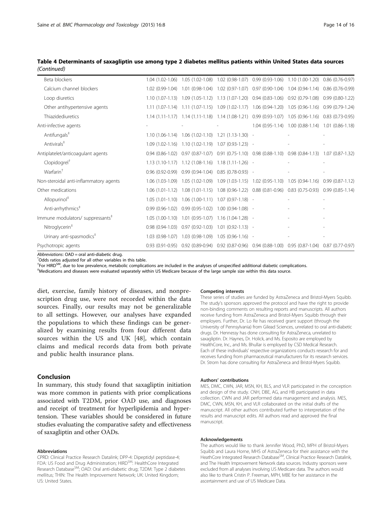Table 4 Determinants of saxagliptin use among type 2 diabetes mellitus patients within United States data sources (Continued)

| Beta blockers                                |                  | 1.04 (1.02-1.06) 1.05 (1.02-1.08) 1.02 (0.98-1.07) 0.99 (0.93-1.06) 1.10 (1.00-1.20) 0.86 (0.76-0.97) |                   |                                   |  |
|----------------------------------------------|------------------|-------------------------------------------------------------------------------------------------------|-------------------|-----------------------------------|--|
| Calcium channel blockers                     | 1.02 (0.99-1.04) | 1.01 (0.98-1.04) 1.02 (0.97-1.07) 0.97 (0.90-1.04) 1.04 (0.94-1.14) 0.86 (0.76-0.99)                  |                   |                                   |  |
| Loop diuretics                               |                  | 1.10 (1.07-1.13) 1.09 (1.05-1.12) 1.13 (1.07-1.20) 0.94 (0.83-1.06) 0.92 (0.79-1.08) 0.99 (0.80-1.22) |                   |                                   |  |
| Other antihypertensive agents                |                  | 1.11 (1.07-1.14) 1.11 (1.07-1.15) 1.09 (1.02-1.17) 1.06 (0.94-1.20) 1.05 (0.96-1.16) 0.99 (0.79-1.24) |                   |                                   |  |
| Thiazidediuretics                            |                  | 1.14 (1.11-1.17) 1.14 (1.11-1.18) 1.14 (1.08-1.21) 0.99 (0.93-1.07) 1.05 (0.96-1.16) 0.83 (0.73-0.95) |                   |                                   |  |
| Anti-infective agents                        |                  |                                                                                                       | $1.04(0.95-1.14)$ | 1.00 (0.88-1.14) 1.01 (0.86-1.18) |  |
| Antifungals <sup>#</sup>                     |                  | $1.10(1.06-1.14)$ $1.06(1.02-1.10)$ $1.21(1.13-1.30)$ -                                               |                   |                                   |  |
| Antivirals <sup>#</sup>                      |                  | 1.09 (1.02-1.16) 1.10 (1.02-1.19) 1.07 (0.93-1.23) -                                                  |                   |                                   |  |
| Antiplatelet/anticoagulant agents            |                  | 0.94 (0.86-1.02) 0.97 (0.87-1.07) 0.91 (0.75-1.10) 0.98 (0.88-1.10) 0.98 (0.84-1.13) 1.07 (0.87-1.32) |                   |                                   |  |
| $Clopidoqrel+$                               |                  | $1.13(1.10-1.17)$ $1.12(1.08-1.16)$ $1.18(1.11-1.26)$ -                                               |                   |                                   |  |
| Warfarin <sup>†</sup>                        |                  | 0.96 (0.92-0.99) 0.99 (0.94-1.04) 0.85 (0.78-0.93) -                                                  |                   |                                   |  |
| Non-steroidal anti-inflammatory agents       |                  | 1.06 (1.03-1.09) 1.05 (1.02-1.09) 1.09 (1.03-1.15) 1.02 (0.95-1.10) 1.05 (0.94-1.16) 0.99 (0.87-1.12) |                   |                                   |  |
| Other medications                            |                  | 1.06 (1.01-1.12) 1.08 (1.01-1.15) 1.08 (0.96-1.22) 0.88 (0.81-0.96) 0.83 (0.75-0.93) 0.99 (0.85-1.14) |                   |                                   |  |
| Allopurinol <sup>#</sup>                     |                  | 1.05 (1.01-1.10) 1.06 (1.00-1.11) 1.07 (0.97-1.18) -                                                  |                   |                                   |  |
| Anti-arrhythmics <sup>#</sup>                |                  | 0.99 (0.96-1.02) 0.99 (0.95-1.02) 1.00 (0.94-1.08) -                                                  |                   |                                   |  |
| Immune modulators/ suppressants <sup>#</sup> |                  | 1.05 (1.00-1.10) 1.01 (0.95-1.07) 1.16 (1.04-1.28) -                                                  |                   |                                   |  |
| Nitroglycerin <sup>#</sup>                   |                  | $0.98$ $(0.94-1.03)$ $0.97$ $(0.92-1.03)$ $1.01$ $(0.92-1.13)$ -                                      |                   |                                   |  |
| Urinary anti-spasmodics <sup>#</sup>         |                  | 1.03 (0.98-1.07) 1.03 (0.98-1.09) 1.05 (0.96-1.16) -                                                  |                   |                                   |  |
| Psychotropic agents                          |                  | 0.93 (0.91-0.95) 0.92 (0.89-0.94) 0.92 (0.87-0.96) 0.94 (0.88-1.00) 0.95 (0.87-1.04) 0.87 (0.77-0.97) |                   |                                   |  |

Abbreviations: OAD = oral anti-diabetic drug.

Odds ratios adjusted for all other variables in this table.

<sup>†</sup>For HIRD<sup>SM</sup>, due to low prevalence, metabolic complications are included in the analyses of unspecified additional diabetic complications.<br><sup>‡M</sup>odications and diseases were evaluated separately within US Modicare becaus

\*Medications and diseases were evaluated separately within US Medicare because of the large sample size within this data source.

diet, exercise, family history of diseases, and nonprescription drug use, were not recorded within the data sources. Finally, our results may not be generalizable to all settings. However, our analyses have expanded the populations to which these findings can be generalized by examining results from four different data sources within the US and UK [\[48](#page-15-0)], which contain claims and medical records data from both private and public health insurance plans.

## Conclusion

In summary, this study found that saxagliptin initiation was more common in patients with prior complications associated with T2DM, prior OAD use, and diagnoses and receipt of treatment for hyperlipidemia and hypertension. These variables should be considered in future studies evaluating the comparative safety and effectiveness of saxagliptin and other OADs.

## Abbreviations

CPRD: Clinical Practice Research Datalink; DPP-4: Dipeptidyl peptidase-4;<br>FDA: US Food and Drug Administration; HIRD<sup>SM</sup>: HealthCore Integrated Research Database<sup>SM</sup>; OAD: Oral anti-diabetic drug; T2DM: Type 2 diabetes mellitus; THIN: The Health Improvement Network; UK: United Kingdom; US: United States.

#### Competing interests

These series of studies are funded by AstraZeneca and Bristol-Myers Squibb. The study's sponsors approved the protocol and have the right to provide non-binding comments on resulting reports and manuscripts. All authors receive funding from AstraZeneca and Bristol-Myers Squibb through their employers. Further, Dr. Lo Re has received grant support (through the University of Pennsylvania) from Gilead Sciences, unrelated to oral anti-diabetic drugs. Dr. Hennessy has done consulting for AstraZeneca, unrelated to saxagliptin. Dr. Haynes, Dr. Holick, and Ms. Esposito are employed by HealthCore, Inc., and Ms. Bhullar is employed by CSD Medical Research. Each of these individuals' respective organizations conducts research for and receives funding from pharmaceutical manufacturers for its research services. Dr. Strom has done consulting for AstraZeneca and Bristol-Myers Squibb.

#### Authors' contributions

MES, DMC, CWN, JAR, MSN, KH, BLS, and VLR participated in the conception and design of the study. CNH, DBE, AG, and HB participated in data collection. CWN and JAR performed data management and analysis. MES, DMC, CWN, MSN, KH, and VLR collaborated on the initial drafts of the manuscript. All other authors contributed further to interpretation of the results and manuscript edits. All authors read and approved the final manuscript.

#### Acknowledgements

The authors would like to thank Jennifer Wood, PhD, MPH of Bristol-Myers Squibb and Laura Horne, MHS of AstraZeneca for their assistance with the HeathCore Integrated Research Database<sup>SM</sup>, Clinical Practice Research Datalink, and The Health Improvement Network data sources. Industry sponsors were excluded from all analyses involving US Medicare data. The authors would also like to thank Cristin P. Freeman, MPH, MBE for her assistance in the ascertainment and use of US Medicare Data.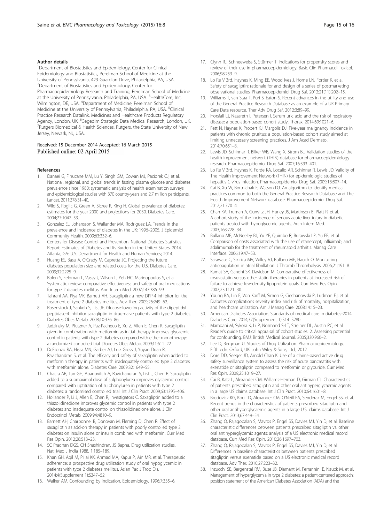#### <span id="page-14-0"></span>Author details

<sup>1</sup>Department of Biostatistics and Epidemiology, Center for Clinical Epidemiology and Biostatistics, Perelman School of Medicine at the University of Pennsylvania, 423 Guardian Drive, Philadelphia, PA, USA. <sup>2</sup>Department of Biostatistics and Epidemiology, Center for Pharmacoepidemiology Research and Training, Perelman School of Medicine at the University of Pennsylvania, Philadelphia, PA, USA. <sup>3</sup>HealthCore, Inc, Wilmington, DE, USA. <sup>4</sup>Department of Medicine, Perelman School of Medicine at the University of Pennsylvania, Philadelphia, PA, USA. <sup>5</sup>Clinical Practice Research Datalink, Medicines and Healthcare Products Regulatory Agency, London, UK. <sup>6</sup>Cegedim Strategic Data Medical Research, London, UK.<br><sup>7</sup>Butgers Biomedical & Health Sciences, Butgers, the State University of New. <sup>7</sup>Rutgers Biomedical & Health Sciences, Rutgers, the State University of New Jersey, Newark, NJ, USA.

## Received: 15 December 2014 Accepted: 16 March 2015 Published online: 02 April 2015

#### References

- 1. Danaei G, Finucane MM, Lu Y, Singh GM, Cowan MJ, Paciorek CJ, et al. National, regional, and global trends in fasting plasma glucose and diabetes prevalence since 1980: systematic analysis of health examination surveys and epidemiological studies with 370 country-years and 2.7 million participants. Lancet. 2011;378:31–40.
- 2. Wild S, Roglic G, Green A, Sicree R, King H. Global prevalence of diabetes: estimates for the year 2000 and projections for 2030. Diabetes Care. 2004;27:1047–53.
- 3. Gonzalez EL, Johansson S, Wallander MA, Rodriguez LA. Trends in the prevalence and incidence of diabetes in the UK: 1996–2005. J Epidemiol Community Health. 2009;63:332–6.
- 4. Centers for Disease Control and Prevention. National Diabetes Statistics Report: Estimates of Diabetes and Its Burden in the United States, 2014. Atlanta, GA: U.S. Department for Health and Human Services; 2014.
- 5. Huang ES, Basu A, O'Grady M, Capretta JC. Projecting the future diabetes population size and related costs for the U.S. Diabetes Care. 2009;32:2225–9.
- 6. Bolen S, Feldman L, Vassy J, Wilson L, Yeh HC, Marinopoulos S, et al. Systematic review: comparative effectiveness and safety of oral medications for type 2 diabetes mellitus. Ann Intern Med. 2007;147:386–99.
- 7. Tahrani AA, Piya MK, Barnett AH. Saxagliptin: a new DPP-4 inhibitor for the treatment of type 2 diabetes mellitus. Adv Ther. 2009;26:249–62.
- 8. Rosenstock J, Sankoh S, List JF. Glucose-lowering activity of the dipeptidyl peptidase-4 inhibitor saxagliptin in drug-naive patients with type 2 diabetes. Diabetes Obes Metab. 2008;10:376–86.
- Jadzinsky M, Pfutzner A, Paz-Pacheco E, Xu Z, Allen E, Chen R. Saxagliptin given in combination with metformin as initial therapy improves glycaemic control in patients with type 2 diabetes compared with either monotherapy: a randomized controlled trial. Diabetes Obes Metab. 2009;11:611–22.
- 10. DeFronzo RA, Hissa MN, Garber AJ, Luiz Gross J, Yuyan Duan R, Ravichandran S, et al. The efficacy and safety of saxagliptin when added to metformin therapy in patients with inadequately controlled type 2 diabetes with metformin alone. Diabetes Care. 2009;32:1649–55.
- 11. Chacra AR, Tan GH, Apanovitch A, Ravichandran S, List J, Chen R. Saxagliptin added to a submaximal dose of sulphonylurea improves glycaemic control compared with uptitration of sulphonylurea in patients with type 2 diabetes: a randomised controlled trial. Int J Clin Pract. 2009;63:1395–406.
- 12. Hollander P, Li J, Allen E, Chen R, Investigators C. Saxagliptin added to a thiazolidinedione improves glycemic control in patients with type 2 diabetes and inadequate control on thiazolidinedione alone. J Clin Endocrinol Metab. 2009;94:4810–9.
- 13. Barnett AH, Charbonnel B, Donovan M, Fleming D, Chen R. Effect of saxagliptin as add-on therapy in patients with poorly controlled type 2 diabetes on insulin alone or insulin combined with metformin. Curr Med Res Opin. 2012;28:513–23.
- 14. SC Pradhan DGS, CH Shashindran, JS Bapna. Drug utilization studies. Natl Med J India 1988, 1:185–189.
- 15. Khan GH, Aqil M, Pillai KK, Ahmad MA, Kapur P, Ain MR, et al. Therapeutic adherence: a prospective drug utilization study of oral hypoglycemic in patients with type 2 diabetes mellitus. Asian Pac J Trop Dis. 2014;4(Supplement 1):S347–52.
- 16. Walker AM. Confounding by indication. Epidemiology. 1996;7:335–6.
- 17. Glynn RJ, Schneeweiss S, Stürmer T. Indications for propensity scores and review of their use in pharmacoepidemiology. Basic Clin Pharmacol Toxicol. 2006;98:253–9.
- 18. Lo Re V 3rd, Haynes K, Ming EE, Wood Ives J, Horne LN, Fortier K, et al. Safety of saxagliptin: rationale for and design of a series of postmarketing observational studies. Pharmacoepidemiol Drug Saf. 2012;21(11):202–15.
- 19. Williams T, van Staa T, Puri S, Eaton S. Recent advances in the utility and use of the General Practice Research Database as an example of a UK Primary Care Data resource. Ther Adv Drug Saf. 2012;3:89–99.
- 20. Horsfall LJ, Nazareth I, Petersen I. Serum uric acid and the risk of respiratory disease: a population-based cohort study. Thorax. 2014;69:1021–6.
- 21. Fett N, Haynes K, Propert KJ, Margolis DJ. Five-year malignancy incidence in patients with chronic pruritus: a population-based cohort study aimed at limiting unnecessary screening practices. J Am Acad Dermatol. 2014;70:651–8.
- 22. Lewis JD, Schinnar R, Bilker WB, Wang X, Strom BL. Validation studies of the health improvement network (THIN) database for pharmacoepidemiology research. Pharmacoepidemiol Drug Saf. 2007;16:393–401.
- 23. Lo Re V 3rd, Haynes K, Forde KA, Localio AR, Schinnar R, Lewis JD. Validity of The Health Improvement Network (THIN) for epidemiologic studies of hepatitis C virus infection. Pharmacoepidemiol Drug Saf. 2009;18:807–14.
- 24. Cai B, Xu W, Bortnichak E, Watson DJ. An algorithm to identify medical practices common to both the General Practice Research Database and The Health Improvement Network database. Pharmacoepidemiol Drug Saf. 2012;21:770–4.
- 25. Chan KA, Truman A, Gurwitz JH, Hurley JS, Martinson B, Platt R, et al. A cohort study of the incidence of serious acute liver injury in diabetic patients treated with hypoglycemic agents. Arch Intern Med. 2003;163:728–34.
- 26. Bullano MF, McNeeley BJ, Yu YF, Quimbo R, Burawski LP, Yu EB, et al. Comparison of costs associated with the use of etanercept, infliximab, and adalimumab for the treatment of rheumatoid arthritis. Manag Care Interface. 2006;19:47–53.
- 27. Sarawate C, Sikirica MV, Willey VJ, Bullano MF, Hauch O. Monitoring anticoagulation in atrial fibrillation. J Thromb Thrombolysis. 2006;21:191–8.
- 28. Kamat SA, Gandhi SK, Davidson M. Comparative effectiveness of rosuvastatin versus other statin therapies in patients at increased risk of failure to achieve low-density lipoprotein goals. Curr Med Res Opin. 2007;23:1121–30.
- 29. Young BA, Lin E, Von Korff M, Simon G, Ciechanowski P, Ludman EJ, et al. Diabetes complications severity index and risk of mortality, hospitalization, and healthcare utilization. Am J Manag Care. 2008;14:15–23.
- 30. American Diabetes Association. Standards of medical care in diabetes-2014. Diabetes Care. 2014;37(Supplement 1):S14–S280.
- 31. Mamdani M, Sykora K, Li P, Normand S-LT, Streiner DL, Austin PC, et al. Reader's guide to critical appraisal of cohort studies: 2. Assessing potential for confounding. BMJ: British Medical Journal. 2005;330:960–2.
- 32. Lee D, Bergman U. Studies of Drug Utilization. Pharmacoepidemiology. Fifth edn. Oxford, UK: John Wiley & Sons, Ltd.; 2012.
- 33. Dore DD, Seeger JD, Arnold Chan K. Use of a claims-based active drug safety surveillance system to assess the risk of acute pancreatitis with exenatide or sitagliptin compared to metformin or glyburide. Curr Med Res Opin. 2009;25:1019–27.
- 34. Cai B, Katz L, Alexander CM, Williams-Herman D, Girman CJ. Characteristics of patients prescribed sitagliptin and other oral antihyperglycaemic agents in a large US claims database. Int J Clin Pract. 2010;64:1601–8.
- 35. Brodovicz KG, Kou TD, Alexander CM, O'Neill EA, Senderak M, Engel SS, et al. Recent trends in the characteristics of patients prescribed sitagliptin and other oral antihyperglycaemic agents in a large U.S. claims database. Int J Clin Pract. 2013;67:449–54.
- 36. Zhang Q, Rajagopalan S, Mavros P, Engel SS, Davies MJ, Yin D, et al. Baseline characteristic differences between patients prescribed sitagliptin vs. other oral antihyperglycemic agents: analysis of a US electronic medical record database. Curr Med Res Opin. 2010;26:1697–703.
- 37. Zhang Q, Rajagopalan S, Mavros P, Engel SS, Davies MJ, Yin D, et al. Differences in baseline characteristics between patients prescribed sitagliptin versus exenatide based on a US electronic medical record database. Adv Ther. 2010;27:223–32.
- 38. Inzucchi SE, Bergenstal RM, Buse JB, Diamant M, Ferrannini E, Nauck M, et al. Management of hyperglycemia in type 2 diabetes: a patient-centered approach: position statement of the American Diabetes Association (ADA) and the